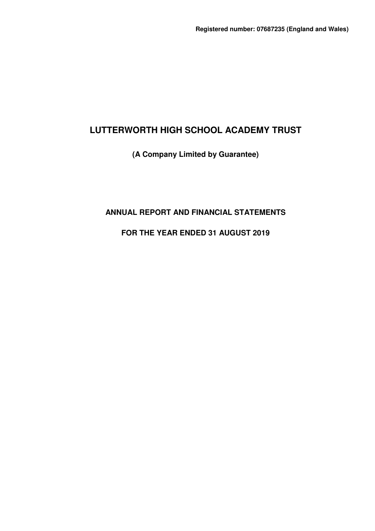# **(A Company Limited by Guarantee)**

# **ANNUAL REPORT AND FINANCIAL STATEMENTS**

# **FOR THE YEAR ENDED 31 AUGUST 2019**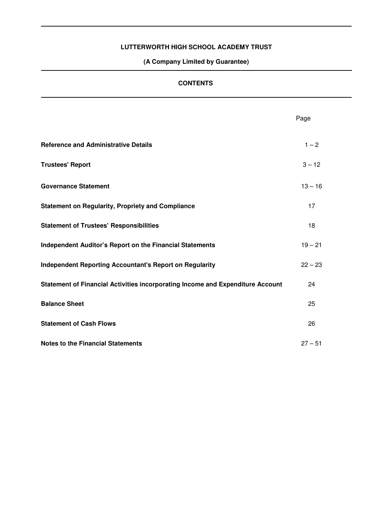**(A Company Limited by Guarantee)** 

## **CONTENTS**

|                                                                                | Page      |
|--------------------------------------------------------------------------------|-----------|
| <b>Reference and Administrative Details</b>                                    | $1 - 2$   |
| <b>Trustees' Report</b>                                                        | $3 - 12$  |
| <b>Governance Statement</b>                                                    | $13 - 16$ |
| <b>Statement on Regularity, Propriety and Compliance</b>                       | 17        |
| <b>Statement of Trustees' Responsibilities</b>                                 | 18        |
| Independent Auditor's Report on the Financial Statements                       | $19 - 21$ |
| <b>Independent Reporting Accountant's Report on Regularity</b>                 | $22 - 23$ |
| Statement of Financial Activities incorporating Income and Expenditure Account | 24        |
| <b>Balance Sheet</b>                                                           | 25        |
| <b>Statement of Cash Flows</b>                                                 | 26        |
| <b>Notes to the Financial Statements</b>                                       | $27 - 51$ |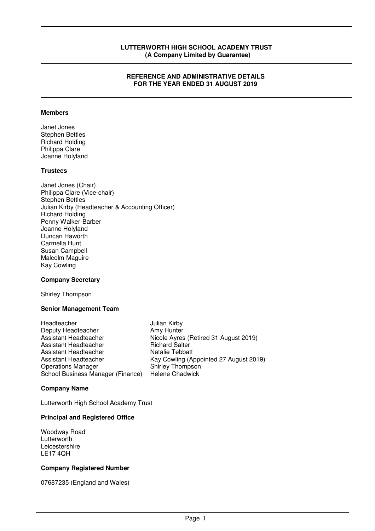### **REFERENCE AND ADMINISTRATIVE DETAILS FOR THE YEAR ENDED 31 AUGUST 2019**

#### **Members**

Janet Jones Stephen Bettles Richard Holding Philippa Clare Joanne Holyland

### **Trustees**

Janet Jones (Chair) Philippa Clare (Vice-chair) Stephen Bettles Julian Kirby (Headteacher & Accounting Officer) Richard Holding Penny Walker-Barber Joanne Holyland Duncan Haworth Carmella Hunt Susan Campbell Malcolm Maguire Kay Cowling

### **Company Secretary**

Shirley Thompson

#### **Senior Management Team**

Headteacher Julian Kirby<br>Deputy Headteacher Amy Hunter Deputy Headteacher<br>Assistant Headteacher Nicole Ayres (Retired 31 August 2019) Assistant Headteacher **Richard Salter** Assistant Headteacher Natalie Tebbatt Assistant Headteacher Kay Cowling (Appointed 27 August 2019) Operations Manager **Shirley Thompson**<br>
School Business Manager (Finance) Helene Chadwick School Business Manager (Finance)

### **Company Name**

Lutterworth High School Academy Trust

#### **Principal and Registered Office**

Woodway Road Lutterworth Leicestershire LE17 4QH

### **Company Registered Number**

07687235 (England and Wales)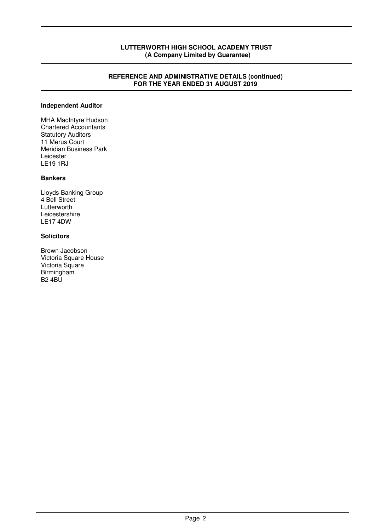#### **REFERENCE AND ADMINISTRATIVE DETAILS (continued) FOR THE YEAR ENDED 31 AUGUST 2019**

### **Independent Auditor**

MHA MacIntyre Hudson Chartered Accountants Statutory Auditors 11 Merus Court Meridian Business Park Leicester LE19 1RJ

### **Bankers**

Lloyds Banking Group 4 Bell Street Lutterworth Leicestershire LE17 4DW

## **Solicitors**

Brown Jacobson Victoria Square House Victoria Square Birmingham B2 4BU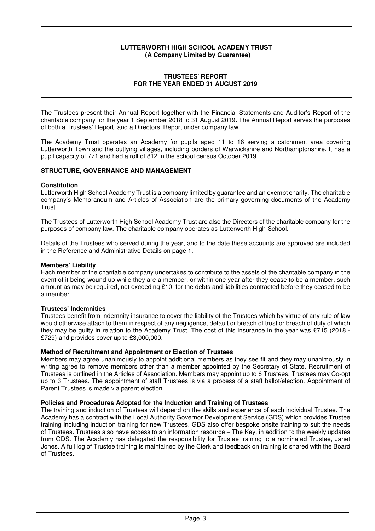#### **TRUSTEES' REPORT FOR THE YEAR ENDED 31 AUGUST 2019**

The Trustees present their Annual Report together with the Financial Statements and Auditor's Report of the charitable company for the year 1 September 2018 to 31 August 2019**.** The Annual Report serves the purposes of both a Trustees' Report, and a Directors' Report under company law.

The Academy Trust operates an Academy for pupils aged 11 to 16 serving a catchment area covering Lutterworth Town and the outlying villages, including borders of Warwickshire and Northamptonshire. It has a pupil capacity of 771 and had a roll of 812 in the school census October 2019.

### **STRUCTURE, GOVERNANCE AND MANAGEMENT**

### **Constitution**

Lutterworth High School Academy Trust is a company limited by guarantee and an exempt charity. The charitable company's Memorandum and Articles of Association are the primary governing documents of the Academy Trust.

The Trustees of Lutterworth High School Academy Trust are also the Directors of the charitable company for the purposes of company law. The charitable company operates as Lutterworth High School.

Details of the Trustees who served during the year, and to the date these accounts are approved are included in the Reference and Administrative Details on page 1.

### **Members' Liability**

Each member of the charitable company undertakes to contribute to the assets of the charitable company in the event of it being wound up while they are a member, or within one year after they cease to be a member, such amount as may be required, not exceeding £10, for the debts and liabilities contracted before they ceased to be a member.

### **Trustees' Indemnities**

Trustees benefit from indemnity insurance to cover the liability of the Trustees which by virtue of any rule of law would otherwise attach to them in respect of any negligence, default or breach of trust or breach of duty of which they may be guilty in relation to the Academy Trust. The cost of this insurance in the year was £715 (2018 - £729) and provides cover up to £3,000,000.

### **Method of Recruitment and Appointment or Election of Trustees**

Members may agree unanimously to appoint additional members as they see fit and they may unanimously in writing agree to remove members other than a member appointed by the Secretary of State. Recruitment of Trustees is outlined in the Articles of Association. Members may appoint up to 6 Trustees. Trustees may Co-opt up to 3 Trustees. The appointment of staff Trustees is via a process of a staff ballot/election. Appointment of Parent Trustees is made via parent election.

### **Policies and Procedures Adopted for the Induction and Training of Trustees**

The training and induction of Trustees will depend on the skills and experience of each individual Trustee. The Academy has a contract with the Local Authority Governor Development Service (GDS) which provides Trustee training including induction training for new Trustees. GDS also offer bespoke onsite training to suit the needs of Trustees. Trustees also have access to an information resource – The Key, in addition to the weekly updates from GDS. The Academy has delegated the responsibility for Trustee training to a nominated Trustee, Janet Jones. A full log of Trustee training is maintained by the Clerk and feedback on training is shared with the Board of Trustees.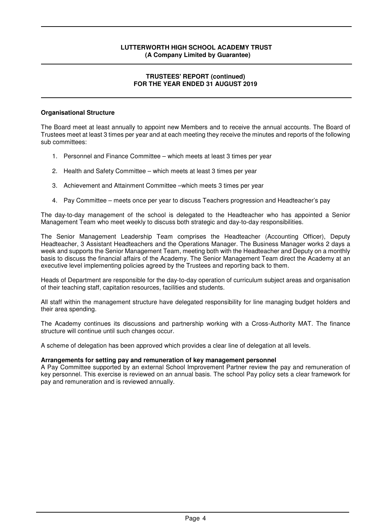### **TRUSTEES' REPORT (continued) FOR THE YEAR ENDED 31 AUGUST 2019**

### **Organisational Structure**

The Board meet at least annually to appoint new Members and to receive the annual accounts. The Board of Trustees meet at least 3 times per year and at each meeting they receive the minutes and reports of the following sub committees:

- 1. Personnel and Finance Committee which meets at least 3 times per year
- 2. Health and Safety Committee which meets at least 3 times per year
- 3. Achievement and Attainment Committee –which meets 3 times per year
- 4. Pay Committee meets once per year to discuss Teachers progression and Headteacher's pay

The day-to-day management of the school is delegated to the Headteacher who has appointed a Senior Management Team who meet weekly to discuss both strategic and day-to-day responsibilities.

The Senior Management Leadership Team comprises the Headteacher (Accounting Officer), Deputy Headteacher, 3 Assistant Headteachers and the Operations Manager. The Business Manager works 2 days a week and supports the Senior Management Team, meeting both with the Headteacher and Deputy on a monthly basis to discuss the financial affairs of the Academy. The Senior Management Team direct the Academy at an executive level implementing policies agreed by the Trustees and reporting back to them.

Heads of Department are responsible for the day-to-day operation of curriculum subject areas and organisation of their teaching staff, capitation resources, facilities and students.

All staff within the management structure have delegated responsibility for line managing budget holders and their area spending.

The Academy continues its discussions and partnership working with a Cross-Authority MAT. The finance structure will continue until such changes occur.

A scheme of delegation has been approved which provides a clear line of delegation at all levels.

### **Arrangements for setting pay and remuneration of key management personnel**

A Pay Committee supported by an external School Improvement Partner review the pay and remuneration of key personnel. This exercise is reviewed on an annual basis. The school Pay policy sets a clear framework for pay and remuneration and is reviewed annually.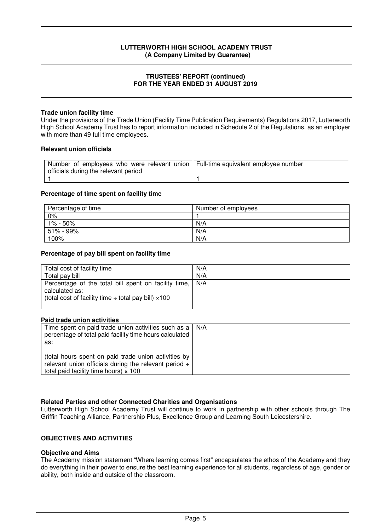### **TRUSTEES' REPORT (continued) FOR THE YEAR ENDED 31 AUGUST 2019**

### **Trade union facility time**

Under the provisions of the Trade Union (Facility Time Publication Requirements) Regulations 2017, Lutterworth High School Academy Trust has to report information included in Schedule 2 of the Regulations, as an employer with more than 49 full time employees.

#### **Relevant union officials**

| Number of employees who were relevant union   Full-time equivalent employee number<br>officials during the relevant period |  |
|----------------------------------------------------------------------------------------------------------------------------|--|
|                                                                                                                            |  |

#### **Percentage of time spent on facility time**

| Percentage of time | Number of employees |
|--------------------|---------------------|
| $0\%$              |                     |
| 1% - 50%           | N/A                 |
| 51% - 99%          | N/A                 |
| 100%               | N/A                 |

### **Percentage of pay bill spent on facility time**

| Total cost of facility time                                                                                                                | N/A   |
|--------------------------------------------------------------------------------------------------------------------------------------------|-------|
| Total pay bill                                                                                                                             | N/A   |
| Percentage of the total bill spent on facility time,<br>calculated as:<br>(total cost of facility time $\div$ total pay bill) $\times$ 100 | I N/A |

#### **Paid trade union activities**

| Time spent on paid trade union activities such as a   N/A<br>percentage of total paid facility time hours calculated<br>as:                                        |  |
|--------------------------------------------------------------------------------------------------------------------------------------------------------------------|--|
| (total hours spent on paid trade union activities by<br>relevant union officials during the relevant period $\div$<br>total paid facility time hours) $\times$ 100 |  |

### **Related Parties and other Connected Charities and Organisations**

Lutterworth High School Academy Trust will continue to work in partnership with other schools through The Griffin Teaching Alliance, Partnership Plus, Excellence Group and Learning South Leicestershire.

## **OBJECTIVES AND ACTIVITIES**

#### **Objective and Aims**

The Academy mission statement "Where learning comes first" encapsulates the ethos of the Academy and they do everything in their power to ensure the best learning experience for all students, regardless of age, gender or ability, both inside and outside of the classroom.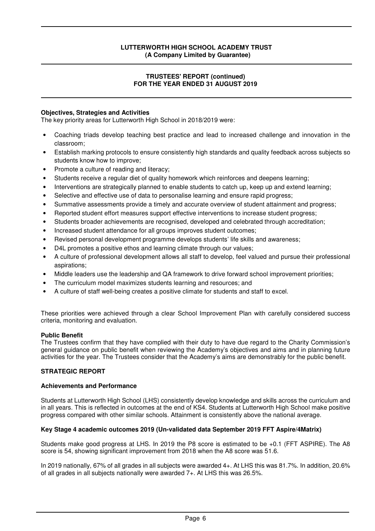### **TRUSTEES' REPORT (continued) FOR THE YEAR ENDED 31 AUGUST 2019**

### **Objectives, Strategies and Activities**

The key priority areas for Lutterworth High School in 2018/2019 were:

- Coaching triads develop teaching best practice and lead to increased challenge and innovation in the classroom;
- Establish marking protocols to ensure consistently high standards and quality feedback across subjects so students know how to improve;
- Promote a culture of reading and literacy;
- Students receive a regular diet of quality homework which reinforces and deepens learning;
- Interventions are strategically planned to enable students to catch up, keep up and extend learning;
- Selective and effective use of data to personalise learning and ensure rapid progress;
- Summative assessments provide a timely and accurate overview of student attainment and progress;
- Reported student effort measures support effective interventions to increase student progress;
- Students broader achievements are recognised, developed and celebrated through accreditation;
- Increased student attendance for all groups improves student outcomes;
- Revised personal development programme develops students' life skills and awareness;
- D4L promotes a positive ethos and learning climate through our values;
- A culture of professional development allows all staff to develop, feel valued and pursue their professional aspirations;
- Middle leaders use the leadership and QA framework to drive forward school improvement priorities;
- The curriculum model maximizes students learning and resources; and
- A culture of staff well-being creates a positive climate for students and staff to excel.

These priorities were achieved through a clear School Improvement Plan with carefully considered success criteria, monitoring and evaluation.

### **Public Benefit**

The Trustees confirm that they have complied with their duty to have due regard to the Charity Commission's general guidance on public benefit when reviewing the Academy's objectives and aims and in planning future activities for the year. The Trustees consider that the Academy's aims are demonstrably for the public benefit.

### **STRATEGIC REPORT**

### **Achievements and Performance**

Students at Lutterworth High School (LHS) consistently develop knowledge and skills across the curriculum and in all years. This is reflected in outcomes at the end of KS4. Students at Lutterworth High School make positive progress compared with other similar schools. Attainment is consistently above the national average.

### **Key Stage 4 academic outcomes 2019 (Un-validated data September 2019 FFT Aspire/4Matrix)**

Students make good progress at LHS. In 2019 the P8 score is estimated to be +0.1 (FFT ASPIRE). The A8 score is 54, showing significant improvement from 2018 when the A8 score was 51.6.

In 2019 nationally, 67% of all grades in all subjects were awarded 4+. At LHS this was 81.7%. In addition, 20.6% of all grades in all subjects nationally were awarded 7+. At LHS this was 26.5%.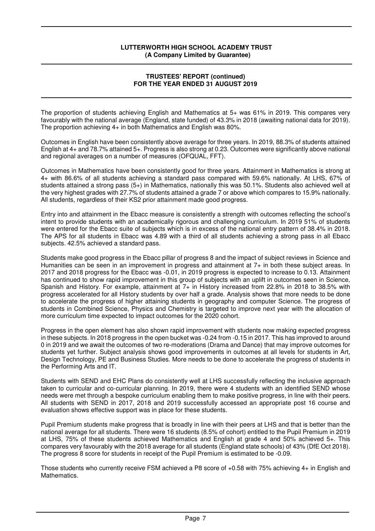### **TRUSTEES' REPORT (continued) FOR THE YEAR ENDED 31 AUGUST 2019**

The proportion of students achieving English and Mathematics at 5+ was 61% in 2019. This compares very favourably with the national average (England, state funded) of 43.3% in 2018 (awaiting national data for 2019). The proportion achieving 4+ in both Mathematics and English was 80%.

Outcomes in English have been consistently above average for three years. In 2019, 88.3% of students attained English at 4+ and 78.7% attained 5+. Progress is also strong at 0.23. Outcomes were significantly above national and regional averages on a number of measures (OFQUAL, FFT).

Outcomes in Mathematics have been consistently good for three years. Attainment in Mathematics is strong at 4+ with 86.6% of all students achieving a standard pass compared with 59.6% nationally. At LHS, 67% of students attained a strong pass (5+) in Mathematics, nationally this was 50.1%. Students also achieved well at the very highest grades with 27.7% of students attained a grade 7 or above which compares to 15.9% nationally. All students, regardless of their KS2 prior attainment made good progress.

Entry into and attainment in the Ebacc measure is consistently a strength with outcomes reflecting the school's intent to provide students with an academically rigorous and challenging curriculum. In 2019 51% of students were entered for the Ebacc suite of subjects which is in excess of the national entry pattern of 38.4% in 2018. The APS for all students in Ebacc was 4.89 with a third of all students achieving a strong pass in all Ebacc subjects. 42.5% achieved a standard pass.

Students make good progress in the Ebacc pillar of progress 8 and the impact of subject reviews in Science and Humanities can be seen in an improvement in progress and attainment at 7+ in both these subject areas. In 2017 and 2018 progress for the Ebacc was -0.01, in 2019 progress is expected to increase to 0.13. Attainment has continued to show rapid improvement in this group of subjects with an uplift in outcomes seen in Science, Spanish and History. For example, attainment at 7+ in History increased from 22.8% in 2018 to 38.5% with progress accelerated for all History students by over half a grade. Analysis shows that more needs to be done to accelerate the progress of higher attaining students in geography and computer Science. The progress of students in Combined Science, Physics and Chemistry is targeted to improve next year with the allocation of more curriculum time expected to impact outcomes for the 2020 cohort.

Progress in the open element has also shown rapid improvement with students now making expected progress in these subjects. In 2018 progress in the open bucket was -0.24 from -0.15 in 2017. This has improved to around 0 in 2019 and we await the outcomes of two re-moderations (Drama and Dance) that may improve outcomes for students yet further. Subject analysis shows good improvements in outcomes at all levels for students in Art, Design Technology, PE and Business Studies. More needs to be done to accelerate the progress of students in the Performing Arts and IT.

Students with SEND and EHC Plans do consistently well at LHS successfully reflecting the inclusive approach taken to curricular and co-curricular planning. In 2019, there were 4 students with an identified SEND whose needs were met through a bespoke curriculum enabling them to make positive progress, in line with their peers. All students with SEND in 2017, 2018 and 2019 successfully accessed an appropriate post 16 course and evaluation shows effective support was in place for these students.

Pupil Premium students make progress that is broadly in line with their peers at LHS and that is better than the national average for all students. There were 16 students (8.5% of cohort) entitled to the Pupil Premium in 2019 at LHS, 75% of these students achieved Mathematics and English at grade 4 and 50% achieved 5+. This compares very favourably with the 2018 average for all students (England state schools) of 43% (DfE Oct 2018). The progress 8 score for students in receipt of the Pupil Premium is estimated to be -0.09.

Those students who currently receive FSM achieved a P8 score of +0.58 with 75% achieving 4+ in English and **Mathematics**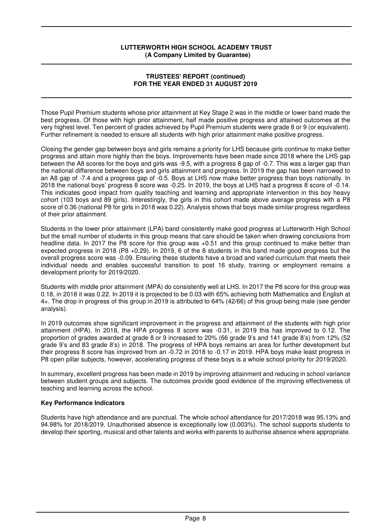### **TRUSTEES' REPORT (continued) FOR THE YEAR ENDED 31 AUGUST 2019**

Those Pupil Premium students whose prior attainment at Key Stage 2 was in the middle or lower band made the best progress. Of those with high prior attainment, half made positive progress and attained outcomes at the very highest level. Ten percent of grades achieved by Pupil Premium students were grade 8 or 9 (or equivalent). Further refinement is needed to ensure all students with high prior attainment make positive progress.

Closing the gender gap between boys and girls remains a priority for LHS because girls continue to make better progress and attain more highly than the boys. Improvements have been made since 2018 where the LHS gap between the A8 scores for the boys and girls was -9.5, with a progress 8 gap of -0.7. This was a larger gap than the national difference between boys and girls attainment and progress. In 2019 the gap has been narrowed to an A8 gap of -7.4 and a progress gap of -0.5. Boys at LHS now make better progress than boys nationally. In 2018 the national boys' progress 8 score was -0.25. In 2019, the boys at LHS had a progress 8 score of -0.14. This indicates good impact from quality teaching and learning and appropriate intervention in this boy heavy cohort (103 boys and 89 girls). Interestingly, the girls in this cohort made above average progress with a P8 score of 0.36 (national P8 for girls in 2018 was 0.22). Analysis shows that boys made similar progress regardless of their prior attainment.

Students in the lower prior attainment (LPA) band consistently make good progress at Lutterworth High School but the small number of students in this group means that care should be taken when drawing conclusions from headline data. In 2017 the P8 score for this group was +0.51 and this group continued to make better than expected progress in 2018 (P8 +0.29). In 2019, 6 of the 8 students in this band made good progress but the overall progress score was -0.09. Ensuring these students have a broad and varied curriculum that meets their individual needs and enables successful transition to post 16 study, training or employment remains a development priority for 2019/2020.

Students with middle prior attainment (MPA) do consistently well at LHS. In 2017 the P8 score for this group was 0.18, in 2018 it was 0.22. In 2019 it is projected to be 0.03 with 65% achieving both Mathematics and English at 4+. The drop in progress of this group in 2019 is attributed to 64% (42/66) of this group being male (see gender analysis).

In 2019 outcomes show significant improvement in the progress and attainment of the students with high prior attainment (HPA). In 2018, the HPA progress 8 score was -0.31, in 2019 this has improved to 0.12. The proportion of grades awarded at grade 8 or 9 increased to 20% (66 grade 9's and 141 grade 8's) from 12% (52 grade 9's and 83 grade 8's) in 2018. The progress of HPA boys remains an area for further development but their progress 8 score has improved from an -0.72 in 2018 to -0.17 in 2019. HPA boys make least progress in P8 open pillar subjects, however, accelerating progress of these boys is a whole school priority for 2019/2020.

In summary, excellent progress has been made in 2019 by improving attainment and reducing in school variance between student groups and subjects. The outcomes provide good evidence of the improving effectiveness of teaching and learning across the school.

### **Key Performance Indicators**

Students have high attendance and are punctual. The whole school attendance for 2017/2018 was 95.13% and 94.98% for 2018/2019. Unauthorised absence is exceptionally low (0.003%). The school supports students to develop their sporting, musical and other talents and works with parents to authorise absence where appropriate.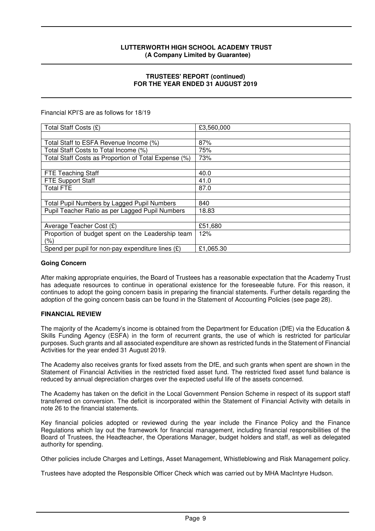### **TRUSTEES' REPORT (continued) FOR THE YEAR ENDED 31 AUGUST 2019**

Financial KPI'S are as follows for 18/19

| Total Staff Costs (£)                                | £3,560,000 |
|------------------------------------------------------|------------|
|                                                      |            |
| Total Staff to ESFA Revenue Income (%)               | 87%        |
| Total Staff Costs to Total Income (%)                | 75%        |
| Total Staff Costs as Proportion of Total Expense (%) | 73%        |
|                                                      |            |
| <b>FTE Teaching Staff</b>                            | 40.0       |
| FTE Support Staff                                    | 41.0       |
| <b>Total FTE</b>                                     | 87.0       |
|                                                      |            |
| Total Pupil Numbers by Lagged Pupil Numbers          | 840        |
| Pupil Teacher Ratio as per Lagged Pupil Numbers      | 18.83      |
|                                                      |            |
| Average Teacher Cost (£)                             | £51,680    |
| Proportion of budget spent on the Leadership team    | 12%        |
| $(\% )$                                              |            |
| Spend per pupil for non-pay expenditure lines $(E)$  | £1,065.30  |

#### **Going Concern**

After making appropriate enquiries, the Board of Trustees has a reasonable expectation that the Academy Trust has adequate resources to continue in operational existence for the foreseeable future. For this reason, it continues to adopt the going concern basis in preparing the financial statements. Further details regarding the adoption of the going concern basis can be found in the Statement of Accounting Policies (see page 28).

### **FINANCIAL REVIEW**

The majority of the Academy's income is obtained from the Department for Education (DfE) via the Education & Skills Funding Agency (ESFA) in the form of recurrent grants, the use of which is restricted for particular purposes. Such grants and all associated expenditure are shown as restricted funds in the Statement of Financial Activities for the year ended 31 August 2019.

The Academy also receives grants for fixed assets from the DfE, and such grants when spent are shown in the Statement of Financial Activities in the restricted fixed asset fund. The restricted fixed asset fund balance is reduced by annual depreciation charges over the expected useful life of the assets concerned.

The Academy has taken on the deficit in the Local Government Pension Scheme in respect of its support staff transferred on conversion. The deficit is incorporated within the Statement of Financial Activity with details in note 26 to the financial statements.

Key financial policies adopted or reviewed during the year include the Finance Policy and the Finance Regulations which lay out the framework for financial management, including financial responsibilities of the Board of Trustees, the Headteacher, the Operations Manager, budget holders and staff, as well as delegated authority for spending.

Other policies include Charges and Lettings, Asset Management, Whistleblowing and Risk Management policy.

Trustees have adopted the Responsible Officer Check which was carried out by MHA MacIntyre Hudson.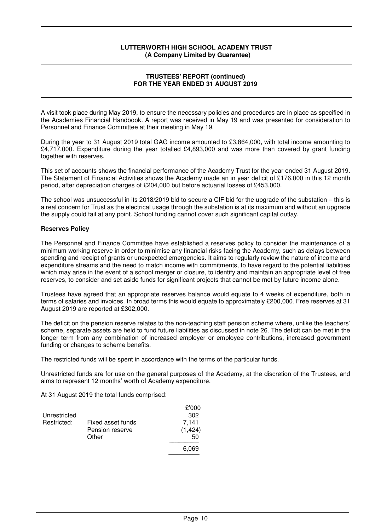### **TRUSTEES' REPORT (continued) FOR THE YEAR ENDED 31 AUGUST 2019**

A visit took place during May 2019, to ensure the necessary policies and procedures are in place as specified in the Academies Financial Handbook. A report was received in May 19 and was presented for consideration to Personnel and Finance Committee at their meeting in May 19.

During the year to 31 August 2019 total GAG income amounted to £3,864,000, with total income amounting to £4,717,000. Expenditure during the year totalled £4,893,000 and was more than covered by grant funding together with reserves.

This set of accounts shows the financial performance of the Academy Trust for the year ended 31 August 2019. The Statement of Financial Activities shows the Academy made an in year deficit of £176,000 in this 12 month period, after depreciation charges of £204,000 but before actuarial losses of £453,000.

The school was unsuccessful in its 2018/2019 bid to secure a CIF bid for the upgrade of the substation – this is a real concern for Trust as the electrical usage through the substation is at its maximum and without an upgrade the supply could fail at any point. School funding cannot cover such significant capital outlay.

### **Reserves Policy**

The Personnel and Finance Committee have established a reserves policy to consider the maintenance of a minimum working reserve in order to minimise any financial risks facing the Academy, such as delays between spending and receipt of grants or unexpected emergencies. It aims to regularly review the nature of income and expenditure streams and the need to match income with commitments, to have regard to the potential liabilities which may arise in the event of a school merger or closure, to identify and maintain an appropriate level of free reserves, to consider and set aside funds for significant projects that cannot be met by future income alone.

Trustees have agreed that an appropriate reserves balance would equate to 4 weeks of expenditure, both in terms of salaries and invoices. In broad terms this would equate to approximately £200,000. Free reserves at 31 August 2019 are reported at £302,000.

The deficit on the pension reserve relates to the non-teaching staff pension scheme where, unlike the teachers' scheme, separate assets are held to fund future liabilities as discussed in note 26. The deficit can be met in the longer term from any combination of increased employer or employee contributions, increased government funding or changes to scheme benefits.

The restricted funds will be spent in accordance with the terms of the particular funds.

Unrestricted funds are for use on the general purposes of the Academy, at the discretion of the Trustees, and aims to represent 12 months' worth of Academy expenditure.

At 31 August 2019 the total funds comprised:

|              |                   | £'000    |
|--------------|-------------------|----------|
| Unrestricted |                   | 302      |
| Restricted:  | Fixed asset funds | 7,141    |
|              | Pension reserve   | (1, 424) |
|              | Other             | 50       |
|              |                   | 6,069    |
|              |                   |          |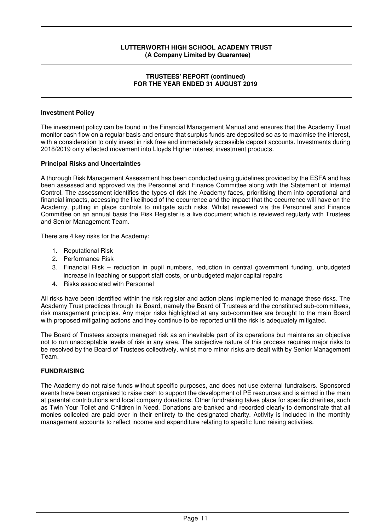#### **TRUSTEES' REPORT (continued) FOR THE YEAR ENDED 31 AUGUST 2019**

### **Investment Policy**

The investment policy can be found in the Financial Management Manual and ensures that the Academy Trust monitor cash flow on a regular basis and ensure that surplus funds are deposited so as to maximise the interest, with a consideration to only invest in risk free and immediately accessible deposit accounts. Investments during 2018/2019 only effected movement into Lloyds Higher interest investment products.

### **Principal Risks and Uncertainties**

A thorough Risk Management Assessment has been conducted using guidelines provided by the ESFA and has been assessed and approved via the Personnel and Finance Committee along with the Statement of Internal Control. The assessment identifies the types of risk the Academy faces, prioritising them into operational and financial impacts, accessing the likelihood of the occurrence and the impact that the occurrence will have on the Academy, putting in place controls to mitigate such risks. Whilst reviewed via the Personnel and Finance Committee on an annual basis the Risk Register is a live document which is reviewed regularly with Trustees and Senior Management Team.

There are 4 key risks for the Academy:

- 1. Reputational Risk
- 2. Performance Risk
- 3. Financial Risk reduction in pupil numbers, reduction in central government funding, unbudgeted increase in teaching or support staff costs, or unbudgeted major capital repairs
- 4. Risks associated with Personnel

All risks have been identified within the risk register and action plans implemented to manage these risks. The Academy Trust practices through its Board, namely the Board of Trustees and the constituted sub-committees, risk management principles. Any major risks highlighted at any sub-committee are brought to the main Board with proposed mitigating actions and they continue to be reported until the risk is adequately mitigated.

The Board of Trustees accepts managed risk as an inevitable part of its operations but maintains an objective not to run unacceptable levels of risk in any area. The subjective nature of this process requires major risks to be resolved by the Board of Trustees collectively, whilst more minor risks are dealt with by Senior Management Team.

### **FUNDRAISING**

The Academy do not raise funds without specific purposes, and does not use external fundraisers. Sponsored events have been organised to raise cash to support the development of PE resources and is aimed in the main at parental contributions and local company donations. Other fundraising takes place for specific charities, such as Twin Your Toilet and Children in Need. Donations are banked and recorded clearly to demonstrate that all monies collected are paid over in their entirety to the designated charity. Activity is included in the monthly management accounts to reflect income and expenditure relating to specific fund raising activities.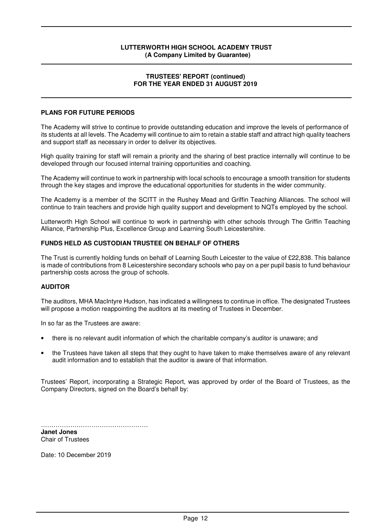#### **TRUSTEES' REPORT (continued) FOR THE YEAR ENDED 31 AUGUST 2019**

### **PLANS FOR FUTURE PERIODS**

The Academy will strive to continue to provide outstanding education and improve the levels of performance of its students at all levels. The Academy will continue to aim to retain a stable staff and attract high quality teachers and support staff as necessary in order to deliver its objectives.

High quality training for staff will remain a priority and the sharing of best practice internally will continue to be developed through our focused internal training opportunities and coaching.

The Academy will continue to work in partnership with local schools to encourage a smooth transition for students through the key stages and improve the educational opportunities for students in the wider community.

The Academy is a member of the SCITT in the Rushey Mead and Griffin Teaching Alliances. The school will continue to train teachers and provide high quality support and development to NQTs employed by the school.

Lutterworth High School will continue to work in partnership with other schools through The Griffin Teaching Alliance, Partnership Plus, Excellence Group and Learning South Leicestershire.

### **FUNDS HELD AS CUSTODIAN TRUSTEE ON BEHALF OF OTHERS**

The Trust is currently holding funds on behalf of Learning South Leicester to the value of £22,838. This balance is made of contributions from 8 Leicestershire secondary schools who pay on a per pupil basis to fund behaviour partnership costs across the group of schools.

### **AUDITOR**

The auditors, MHA MacIntyre Hudson, has indicated a willingness to continue in office. The designated Trustees will propose a motion reappointing the auditors at its meeting of Trustees in December.

In so far as the Trustees are aware:

- there is no relevant audit information of which the charitable company's auditor is unaware; and
- the Trustees have taken all steps that they ought to have taken to make themselves aware of any relevant audit information and to establish that the auditor is aware of that information.

Trustees' Report, incorporating a Strategic Report, was approved by order of the Board of Trustees, as the Company Directors, signed on the Board's behalf by:

…………………………………………… **Janet Jones**  Chair of Trustees

Date: 10 December 2019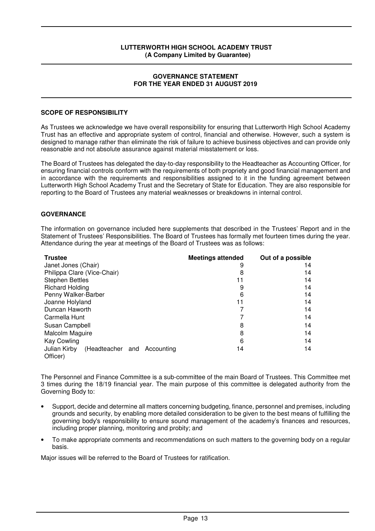#### **GOVERNANCE STATEMENT FOR THE YEAR ENDED 31 AUGUST 2019**

### **SCOPE OF RESPONSIBILITY**

As Trustees we acknowledge we have overall responsibility for ensuring that Lutterworth High School Academy Trust has an effective and appropriate system of control, financial and otherwise. However, such a system is designed to manage rather than eliminate the risk of failure to achieve business objectives and can provide only reasonable and not absolute assurance against material misstatement or loss.

The Board of Trustees has delegated the day-to-day responsibility to the Headteacher as Accounting Officer, for ensuring financial controls conform with the requirements of both propriety and good financial management and in accordance with the requirements and responsibilities assigned to it in the funding agreement between Lutterworth High School Academy Trust and the Secretary of State for Education. They are also responsible for reporting to the Board of Trustees any material weaknesses or breakdowns in internal control.

### **GOVERNANCE**

The information on governance included here supplements that described in the Trustees' Report and in the Statement of Trustees' Responsibilities. The Board of Trustees has formally met fourteen times during the year. Attendance during the year at meetings of the Board of Trustees was as follows:

| <b>Trustee</b>                                             | <b>Meetings attended</b> | Out of a possible |
|------------------------------------------------------------|--------------------------|-------------------|
| Janet Jones (Chair)                                        | 9                        | 14                |
| Philippa Clare (Vice-Chair)                                | 8                        | 14                |
| <b>Stephen Bettles</b>                                     | 11                       | 14                |
| <b>Richard Holding</b>                                     | 9                        | 14                |
| Penny Walker-Barber                                        | 6                        | 14                |
| Joanne Holyland                                            | 11                       | 14                |
| Duncan Haworth                                             |                          | 14                |
| Carmella Hunt                                              |                          | 14                |
| Susan Campbell                                             | 8                        | 14                |
| Malcolm Maguire                                            | 8                        | 14                |
| Kay Cowling                                                | 6                        | 14                |
| (Headteacher and<br>Julian Kirby<br>Accounting<br>Officer) | 14                       | 14                |

The Personnel and Finance Committee is a sub-committee of the main Board of Trustees. This Committee met 3 times during the 18/19 financial year. The main purpose of this committee is delegated authority from the Governing Body to:

- Support, decide and determine all matters concerning budgeting, finance, personnel and premises, including grounds and security, by enabling more detailed consideration to be given to the best means of fulfilling the governing body's responsibility to ensure sound management of the academy's finances and resources, including proper planning, monitoring and probity; and
- To make appropriate comments and recommendations on such matters to the governing body on a regular basis.

Major issues will be referred to the Board of Trustees for ratification.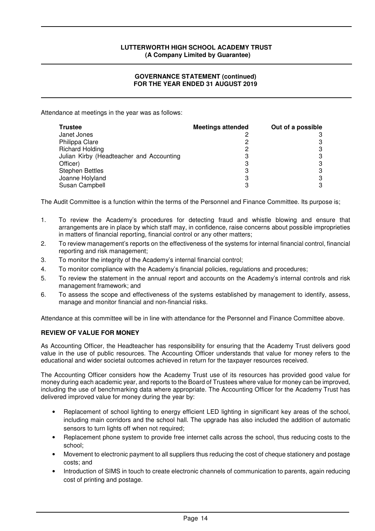### **GOVERNANCE STATEMENT (continued) FOR THE YEAR ENDED 31 AUGUST 2019**

Attendance at meetings in the year was as follows:

| <b>Trustee</b>                           | <b>Meetings attended</b> | Out of a possible |
|------------------------------------------|--------------------------|-------------------|
| Janet Jones                              |                          |                   |
| Philippa Clare                           |                          |                   |
| <b>Richard Holding</b>                   |                          |                   |
| Julian Kirby (Headteacher and Accounting |                          |                   |
| Officer)                                 | З                        |                   |
| <b>Stephen Bettles</b>                   | З                        |                   |
| Joanne Holyland                          | 3                        |                   |
| Susan Campbell                           | 0                        |                   |

The Audit Committee is a function within the terms of the Personnel and Finance Committee. Its purpose is;

- 1. To review the Academy's procedures for detecting fraud and whistle blowing and ensure that arrangements are in place by which staff may, in confidence, raise concerns about possible improprieties in matters of financial reporting, financial control or any other matters;
- 2. To review management's reports on the effectiveness of the systems for internal financial control, financial reporting and risk management;
- 3. To monitor the integrity of the Academy's internal financial control;
- 4. To monitor compliance with the Academy's financial policies, regulations and procedures;
- 5. To review the statement in the annual report and accounts on the Academy's internal controls and risk management framework; and
- 6. To assess the scope and effectiveness of the systems established by management to identify, assess, manage and monitor financial and non-financial risks.

Attendance at this committee will be in line with attendance for the Personnel and Finance Committee above.

## **REVIEW OF VALUE FOR MONEY**

As Accounting Officer, the Headteacher has responsibility for ensuring that the Academy Trust delivers good value in the use of public resources. The Accounting Officer understands that value for money refers to the educational and wider societal outcomes achieved in return for the taxpayer resources received.

The Accounting Officer considers how the Academy Trust use of its resources has provided good value for money during each academic year, and reports to the Board of Trustees where value for money can be improved, including the use of benchmarking data where appropriate. The Accounting Officer for the Academy Trust has delivered improved value for money during the year by:

- Replacement of school lighting to energy efficient LED lighting in significant key areas of the school, including main corridors and the school hall. The upgrade has also included the addition of automatic sensors to turn lights off when not required;
- Replacement phone system to provide free internet calls across the school, thus reducing costs to the school;
- Movement to electronic payment to all suppliers thus reducing the cost of cheque stationery and postage costs; and
- Introduction of SIMS in touch to create electronic channels of communication to parents, again reducing cost of printing and postage.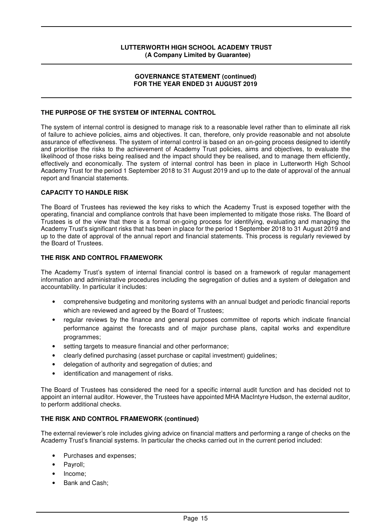### **GOVERNANCE STATEMENT (continued) FOR THE YEAR ENDED 31 AUGUST 2019**

### **THE PURPOSE OF THE SYSTEM OF INTERNAL CONTROL**

The system of internal control is designed to manage risk to a reasonable level rather than to eliminate all risk of failure to achieve policies, aims and objectives. It can, therefore, only provide reasonable and not absolute assurance of effectiveness. The system of internal control is based on an on-going process designed to identify and prioritise the risks to the achievement of Academy Trust policies, aims and objectives, to evaluate the likelihood of those risks being realised and the impact should they be realised, and to manage them efficiently, effectively and economically. The system of internal control has been in place in Lutterworth High School Academy Trust for the period 1 September 2018 to 31 August 2019 and up to the date of approval of the annual report and financial statements.

### **CAPACITY TO HANDLE RISK**

The Board of Trustees has reviewed the key risks to which the Academy Trust is exposed together with the operating, financial and compliance controls that have been implemented to mitigate those risks. The Board of Trustees is of the view that there is a formal on-going process for identifying, evaluating and managing the Academy Trust's significant risks that has been in place for the period 1 September 2018 to 31 August 2019 and up to the date of approval of the annual report and financial statements. This process is regularly reviewed by the Board of Trustees.

## **THE RISK AND CONTROL FRAMEWORK**

The Academy Trust's system of internal financial control is based on a framework of regular management information and administrative procedures including the segregation of duties and a system of delegation and accountability. In particular it includes:

- comprehensive budgeting and monitoring systems with an annual budget and periodic financial reports which are reviewed and agreed by the Board of Trustees;
- regular reviews by the finance and general purposes committee of reports which indicate financial performance against the forecasts and of major purchase plans, capital works and expenditure programmes;
- setting targets to measure financial and other performance;
- clearly defined purchasing (asset purchase or capital investment) guidelines;
- delegation of authority and segregation of duties; and
- identification and management of risks.

The Board of Trustees has considered the need for a specific internal audit function and has decided not to appoint an internal auditor. However, the Trustees have appointed MHA MacIntyre Hudson, the external auditor, to perform additional checks.

### **THE RISK AND CONTROL FRAMEWORK (continued)**

The external reviewer's role includes giving advice on financial matters and performing a range of checks on the Academy Trust's financial systems. In particular the checks carried out in the current period included:

- Purchases and expenses;
- Payroll;
- Income;
- Bank and Cash;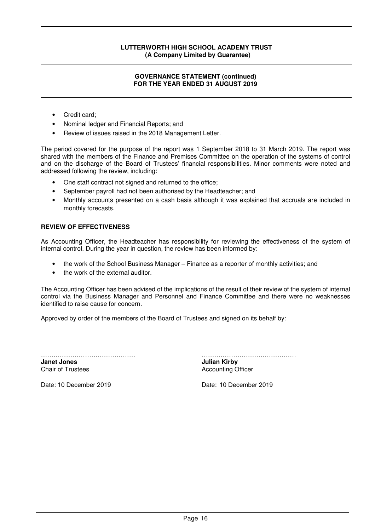### **GOVERNANCE STATEMENT (continued) FOR THE YEAR ENDED 31 AUGUST 2019**

- Credit card;
- Nominal ledger and Financial Reports; and
- Review of issues raised in the 2018 Management Letter.

The period covered for the purpose of the report was 1 September 2018 to 31 March 2019. The report was shared with the members of the Finance and Premises Committee on the operation of the systems of control and on the discharge of the Board of Trustees' financial responsibilities. Minor comments were noted and addressed following the review, including:

- One staff contract not signed and returned to the office;
- September payroll had not been authorised by the Headteacher; and
- Monthly accounts presented on a cash basis although it was explained that accruals are included in monthly forecasts.

### **REVIEW OF EFFECTIVENESS**

As Accounting Officer, the Headteacher has responsibility for reviewing the effectiveness of the system of internal control. During the year in question, the review has been informed by:

- the work of the School Business Manager Finance as a reporter of monthly activities; and
- the work of the external auditor.

The Accounting Officer has been advised of the implications of the result of their review of the system of internal control via the Business Manager and Personnel and Finance Committee and there were no weaknesses identified to raise cause for concern.

Approved by order of the members of the Board of Trustees and signed on its behalf by:

**Janet Jones Julian Kirby Chair of Trustees Julian Kirby Chair of Trustees Accounting O** 

……………………………………… ……………………………………… **Accounting Officer** 

Date: 10 December 2019 Date: 10 December 2019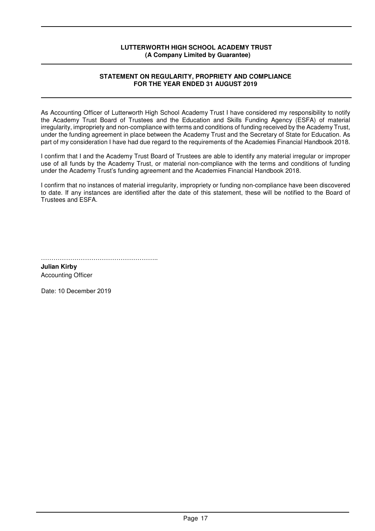### **STATEMENT ON REGULARITY, PROPRIETY AND COMPLIANCE FOR THE YEAR ENDED 31 AUGUST 2019**

As Accounting Officer of Lutterworth High School Academy Trust I have considered my responsibility to notify the Academy Trust Board of Trustees and the Education and Skills Funding Agency (ESFA) of material irregularity, impropriety and non-compliance with terms and conditions of funding received by the Academy Trust, under the funding agreement in place between the Academy Trust and the Secretary of State for Education. As part of my consideration I have had due regard to the requirements of the Academies Financial Handbook 2018.

I confirm that I and the Academy Trust Board of Trustees are able to identify any material irregular or improper use of all funds by the Academy Trust, or material non-compliance with the terms and conditions of funding under the Academy Trust's funding agreement and the Academies Financial Handbook 2018.

I confirm that no instances of material irregularity, impropriety or funding non-compliance have been discovered to date. If any instances are identified after the date of this statement, these will be notified to the Board of Trustees and ESFA.

………………………………………………..

**Julian Kirby**  Accounting Officer

Date: 10 December 2019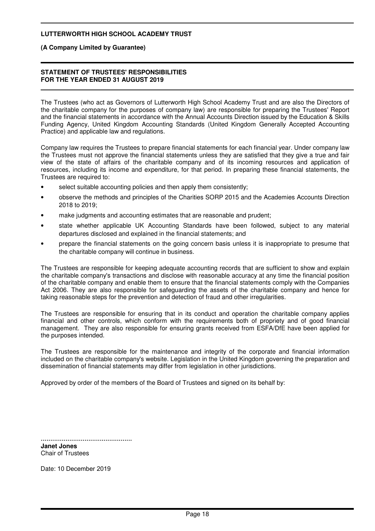#### **(A Company Limited by Guarantee)**

#### **STATEMENT OF TRUSTEES' RESPONSIBILITIES FOR THE YEAR ENDED 31 AUGUST 2019**

The Trustees (who act as Governors of Lutterworth High School Academy Trust and are also the Directors of the charitable company for the purposes of company law) are responsible for preparing the Trustees' Report and the financial statements in accordance with the Annual Accounts Direction issued by the Education & Skills Funding Agency, United Kingdom Accounting Standards (United Kingdom Generally Accepted Accounting Practice) and applicable law and regulations.

Company law requires the Trustees to prepare financial statements for each financial year. Under company law the Trustees must not approve the financial statements unless they are satisfied that they give a true and fair view of the state of affairs of the charitable company and of its incoming resources and application of resources, including its income and expenditure, for that period. In preparing these financial statements, the Trustees are required to:

- select suitable accounting policies and then apply them consistently;
- observe the methods and principles of the Charities SORP 2015 and the Academies Accounts Direction 2018 to 2019;
- make judgments and accounting estimates that are reasonable and prudent;
- state whether applicable UK Accounting Standards have been followed, subject to any material departures disclosed and explained in the financial statements; and
- prepare the financial statements on the going concern basis unless it is inappropriate to presume that the charitable company will continue in business.

The Trustees are responsible for keeping adequate accounting records that are sufficient to show and explain the charitable company's transactions and disclose with reasonable accuracy at any time the financial position of the charitable company and enable them to ensure that the financial statements comply with the Companies Act 2006. They are also responsible for safeguarding the assets of the charitable company and hence for taking reasonable steps for the prevention and detection of fraud and other irregularities.

The Trustees are responsible for ensuring that in its conduct and operation the charitable company applies financial and other controls, which conform with the requirements both of propriety and of good financial management. They are also responsible for ensuring grants received from ESFA/DfE have been applied for the purposes intended.

The Trustees are responsible for the maintenance and integrity of the corporate and financial information included on the charitable company's website. Legislation in the United Kingdom governing the preparation and dissemination of financial statements may differ from legislation in other jurisdictions.

Approved by order of the members of the Board of Trustees and signed on its behalf by:

................................................ **Janet Jones**

Chair of Trustees

Date: 10 December 2019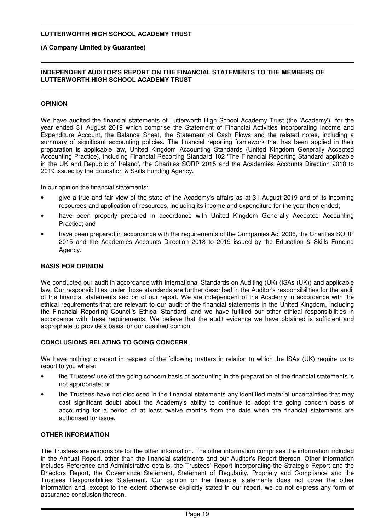### **(A Company Limited by Guarantee)**

### **INDEPENDENT AUDITOR'S REPORT ON THE FINANCIAL STATEMENTS TO THE MEMBERS OF LUTTERWORTH HIGH SCHOOL ACADEMY TRUST**

### **OPINION**

We have audited the financial statements of Lutterworth High School Academy Trust (the 'Academy') for the year ended 31 August 2019 which comprise the Statement of Financial Activities incorporating Income and Expenditure Account, the Balance Sheet, the Statement of Cash Flows and the related notes, including a summary of significant accounting policies. The financial reporting framework that has been applied in their preparation is applicable law, United Kingdom Accounting Standards (United Kingdom Generally Accepted Accounting Practice), including Financial Reporting Standard 102 'The Financial Reporting Standard applicable in the UK and Republic of Ireland', the Charities SORP 2015 and the Academies Accounts Direction 2018 to 2019 issued by the Education & Skills Funding Agency.

In our opinion the financial statements:

- give a true and fair view of the state of the Academy's affairs as at 31 August 2019 and of its incoming resources and application of resources, including its income and expenditure for the year then ended;
- have been properly prepared in accordance with United Kingdom Generally Accepted Accounting Practice; and
- have been prepared in accordance with the requirements of the Companies Act 2006, the Charities SORP 2015 and the Academies Accounts Direction 2018 to 2019 issued by the Education & Skills Funding Agency.

### **BASIS FOR OPINION**

We conducted our audit in accordance with International Standards on Auditing (UK) (ISAs (UK)) and applicable law. Our responsibilities under those standards are further described in the Auditor's responsibilities for the audit of the financial statements section of our report. We are independent of the Academy in accordance with the ethical requirements that are relevant to our audit of the financial statements in the United Kingdom, including the Financial Reporting Council's Ethical Standard, and we have fulfilled our other ethical responsibilities in accordance with these requirements. We believe that the audit evidence we have obtained is sufficient and appropriate to provide a basis for our qualified opinion.

### **CONCLUSIONS RELATING TO GOING CONCERN**

We have nothing to report in respect of the following matters in relation to which the ISAs (UK) require us to report to you where:

- the Trustees' use of the going concern basis of accounting in the preparation of the financial statements is not appropriate; or
- the Trustees have not disclosed in the financial statements any identified material uncertainties that may cast significant doubt about the Academy's ability to continue to adopt the going concern basis of accounting for a period of at least twelve months from the date when the financial statements are authorised for issue.

## **OTHER INFORMATION**

The Trustees are responsible for the other information. The other information comprises the information included in the Annual Report, other than the financial statements and our Auditor's Report thereon. Other information includes Reference and Administrative details, the Trustees' Report incorporating the Strategic Report and the Driectors Report, the Governance Statement, Statement of Regularity, Propriety and Compliance and the Trustees Responsibilities Statement. Our opinion on the financial statements does not cover the other information and, except to the extent otherwise explicitly stated in our report, we do not express any form of assurance conclusion thereon.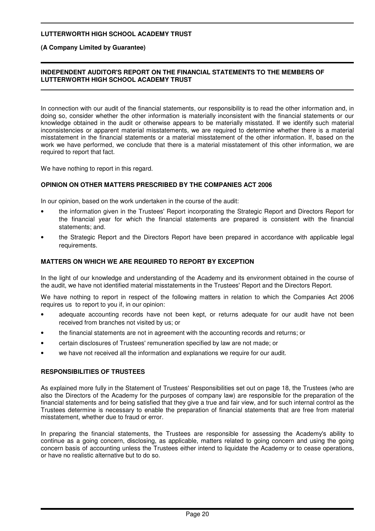**(A Company Limited by Guarantee)**

### **INDEPENDENT AUDITOR'S REPORT ON THE FINANCIAL STATEMENTS TO THE MEMBERS OF LUTTERWORTH HIGH SCHOOL ACADEMY TRUST**

In connection with our audit of the financial statements, our responsibility is to read the other information and, in doing so, consider whether the other information is materially inconsistent with the financial statements or our knowledge obtained in the audit or otherwise appears to be materially misstated. If we identify such material inconsistencies or apparent material misstatements, we are required to determine whether there is a material misstatement in the financial statements or a material misstatement of the other information. If, based on the work we have performed, we conclude that there is a material misstatement of this other information, we are required to report that fact.

We have nothing to report in this regard.

### **OPINION ON OTHER MATTERS PRESCRIBED BY THE COMPANIES ACT 2006**

In our opinion, based on the work undertaken in the course of the audit:

- the information given in the Trustees' Report incorporating the Strategic Report and Directors Report for the financial year for which the financial statements are prepared is consistent with the financial statements; and.
- the Strategic Report and the Directors Report have been prepared in accordance with applicable legal requirements.

### **MATTERS ON WHICH WE ARE REQUIRED TO REPORT BY EXCEPTION**

In the light of our knowledge and understanding of the Academy and its environment obtained in the course of the audit, we have not identified material misstatements in the Trustees' Report and the Directors Report.

We have nothing to report in respect of the following matters in relation to which the Companies Act 2006 requires us to report to you if, in our opinion:

- adequate accounting records have not been kept, or returns adequate for our audit have not been received from branches not visited by us; or
- the financial statements are not in agreement with the accounting records and returns; or
- certain disclosures of Trustees' remuneration specified by law are not made; or
- we have not received all the information and explanations we require for our audit.

### **RESPONSIBILITIES OF TRUSTEES**

As explained more fully in the Statement of Trustees' Responsibilities set out on page 18, the Trustees (who are also the Directors of the Academy for the purposes of company law) are responsible for the preparation of the financial statements and for being satisfied that they give a true and fair view, and for such internal control as the Trustees determine is necessary to enable the preparation of financial statements that are free from material misstatement, whether due to fraud or error.

In preparing the financial statements, the Trustees are responsible for assessing the Academy's ability to continue as a going concern, disclosing, as applicable, matters related to going concern and using the going concern basis of accounting unless the Trustees either intend to liquidate the Academy or to cease operations, or have no realistic alternative but to do so.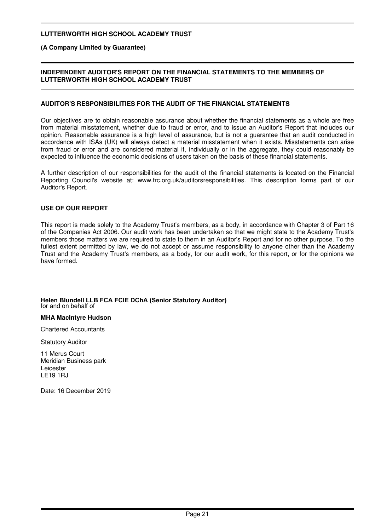### **(A Company Limited by Guarantee)**

### **INDEPENDENT AUDITOR'S REPORT ON THE FINANCIAL STATEMENTS TO THE MEMBERS OF LUTTERWORTH HIGH SCHOOL ACADEMY TRUST**

### **AUDITOR'S RESPONSIBILITIES FOR THE AUDIT OF THE FINANCIAL STATEMENTS**

Our objectives are to obtain reasonable assurance about whether the financial statements as a whole are free from material misstatement, whether due to fraud or error, and to issue an Auditor's Report that includes our opinion. Reasonable assurance is a high level of assurance, but is not a guarantee that an audit conducted in accordance with ISAs (UK) will always detect a material misstatement when it exists. Misstatements can arise from fraud or error and are considered material if, individually or in the aggregate, they could reasonably be expected to influence the economic decisions of users taken on the basis of these financial statements.

A further description of our responsibilities for the audit of the financial statements is located on the Financial Reporting Council's website at: www.frc.org.uk/auditorsresponsibilities. This description forms part of our Auditor's Report.

### **USE OF OUR REPORT**

This report is made solely to the Academy Trust's members, as a body, in accordance with Chapter 3 of Part 16 of the Companies Act 2006. Our audit work has been undertaken so that we might state to the Academy Trust's members those matters we are required to state to them in an Auditor's Report and for no other purpose. To the fullest extent permitted by law, we do not accept or assume responsibility to anyone other than the Academy Trust and the Academy Trust's members, as a body, for our audit work, for this report, or for the opinions we have formed.

#### **Helen Blundell LLB FCA FCIE DChA (Senior Statutory Auditor)** for and on behalf of  $\overline{a}$

#### **MHA MacIntyre Hudson**

Chartered Accountants

**Statutory Auditor** 

11 Merus Court Meridian Business park Leicester LE19 1RJ

Date: 16 December 2019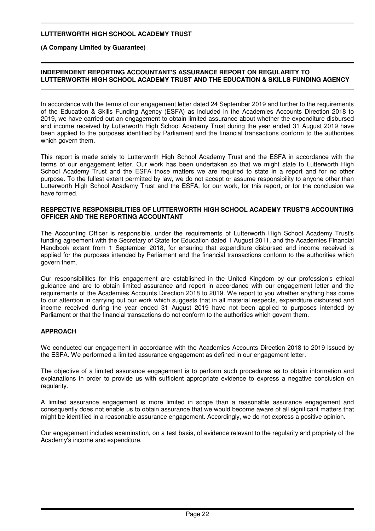**(A Company Limited by Guarantee)**

### **INDEPENDENT REPORTING ACCOUNTANT'S ASSURANCE REPORT ON REGULARITY TO LUTTERWORTH HIGH SCHOOL ACADEMY TRUST AND THE EDUCATION & SKILLS FUNDING AGENCY**

In accordance with the terms of our engagement letter dated 24 September 2019 and further to the requirements of the Education & Skills Funding Agency (ESFA) as included in the Academies Accounts Direction 2018 to 2019, we have carried out an engagement to obtain limited assurance about whether the expenditure disbursed and income received by Lutterworth High School Academy Trust during the year ended 31 August 2019 have been applied to the purposes identified by Parliament and the financial transactions conform to the authorities which govern them.

This report is made solely to Lutterworth High School Academy Trust and the ESFA in accordance with the terms of our engagement letter. Our work has been undertaken so that we might state to Lutterworth High School Academy Trust and the ESFA those matters we are required to state in a report and for no other purpose. To the fullest extent permitted by law, we do not accept or assume responsibility to anyone other than Lutterworth High School Academy Trust and the ESFA, for our work, for this report, or for the conclusion we have formed.

#### **RESPECTIVE RESPONSIBILITIES OF LUTTERWORTH HIGH SCHOOL ACADEMY TRUST'S ACCOUNTING OFFICER AND THE REPORTING ACCOUNTANT**

The Accounting Officer is responsible, under the requirements of Lutterworth High School Academy Trust's funding agreement with the Secretary of State for Education dated 1 August 2011, and the Academies Financial Handbook extant from 1 September 2018, for ensuring that expenditure disbursed and income received is applied for the purposes intended by Parliament and the financial transactions conform to the authorities which govern them.

Our responsibilities for this engagement are established in the United Kingdom by our profession's ethical guidance and are to obtain limited assurance and report in accordance with our engagement letter and the requirements of the Academies Accounts Direction 2018 to 2019. We report to you whether anything has come to our attention in carrying out our work which suggests that in all material respects, expenditure disbursed and income received during the year ended 31 August 2019 have not been applied to purposes intended by Parliament or that the financial transactions do not conform to the authorities which govern them.

## **APPROACH**

We conducted our engagement in accordance with the Academies Accounts Direction 2018 to 2019 issued by the ESFA. We performed a limited assurance engagement as defined in our engagement letter.

The objective of a limited assurance engagement is to perform such procedures as to obtain information and explanations in order to provide us with sufficient appropriate evidence to express a negative conclusion on regularity.

A limited assurance engagement is more limited in scope than a reasonable assurance engagement and consequently does not enable us to obtain assurance that we would become aware of all significant matters that might be identified in a reasonable assurance engagement. Accordingly, we do not express a positive opinion.

Our engagement includes examination, on a test basis, of evidence relevant to the regularity and propriety of the Academy's income and expenditure.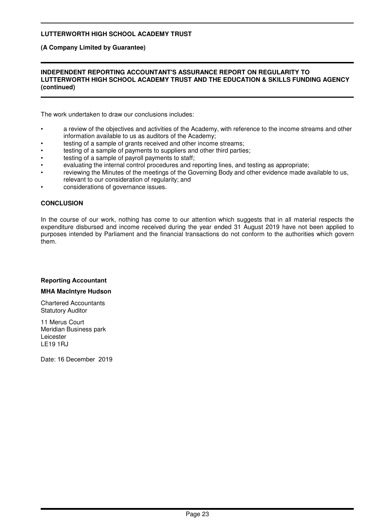**(A Company Limited by Guarantee)**

### **INDEPENDENT REPORTING ACCOUNTANT'S ASSURANCE REPORT ON REGULARITY TO LUTTERWORTH HIGH SCHOOL ACADEMY TRUST AND THE EDUCATION & SKILLS FUNDING AGENCY (continued)**

The work undertaken to draw our conclusions includes:

- a review of the objectives and activities of the Academy, with reference to the income streams and other information available to us as auditors of the Academy;
- testing of a sample of grants received and other income streams;
- testing of a sample of payments to suppliers and other third parties;
- testing of a sample of payroll payments to staff:
- evaluating the internal control procedures and reporting lines, and testing as appropriate;
- reviewing the Minutes of the meetings of the Governing Body and other evidence made available to us, relevant to our consideration of regularity; and
- considerations of governance issues.

### **CONCLUSION**

In the course of our work, nothing has come to our attention which suggests that in all material respects the expenditure disbursed and income received during the year ended 31 August 2019 have not been applied to purposes intended by Parliament and the financial transactions do not conform to the authorities which govern them.

#### **Reporting Accountant**

#### **MHA MacIntyre Hudson**

Chartered Accountants Statutory Auditor

11 Merus Court Meridian Business park Leicester LE19 1RJ

Date: 16 December 2019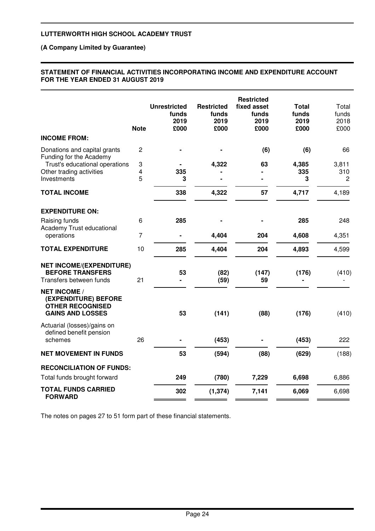### **(A Company Limited by Guarantee)**

### **STATEMENT OF FINANCIAL ACTIVITIES INCORPORATING INCOME AND EXPENDITURE ACCOUNT FOR THE YEAR ENDED 31 AUGUST 2019**

|                                                                                                   | <b>Note</b>    | <b>Unrestricted</b><br>funds<br>2019<br>£000 | <b>Restricted</b><br>funds<br>2019<br>£000 | <b>Restricted</b><br>fixed asset<br>funds<br>2019<br>£000 | <b>Total</b><br>funds<br>2019<br>£000 | Total<br>funds<br>2018<br>£000 |
|---------------------------------------------------------------------------------------------------|----------------|----------------------------------------------|--------------------------------------------|-----------------------------------------------------------|---------------------------------------|--------------------------------|
| <b>INCOME FROM:</b>                                                                               |                |                                              |                                            |                                                           |                                       |                                |
| Donations and capital grants<br>Funding for the Academy                                           | 2              |                                              |                                            | (6)                                                       | (6)                                   | 66                             |
| Trust's educational operations                                                                    | 3              |                                              | 4,322                                      | 63                                                        | 4,385                                 | 3,811                          |
| Other trading activities<br>Investments                                                           | 4<br>5         | 335<br>3                                     |                                            |                                                           | 335<br>3                              | 310<br>2                       |
|                                                                                                   |                |                                              |                                            |                                                           |                                       |                                |
| <b>TOTAL INCOME</b>                                                                               |                | 338                                          | 4,322                                      | 57                                                        | 4,717                                 | 4,189                          |
| <b>EXPENDITURE ON:</b>                                                                            |                |                                              |                                            |                                                           |                                       |                                |
| Raising funds                                                                                     | 6              | 285                                          |                                            |                                                           | 285                                   | 248                            |
| Academy Trust educational<br>operations                                                           | $\overline{7}$ |                                              | 4,404                                      | 204                                                       | 4,608                                 | 4,351                          |
| <b>TOTAL EXPENDITURE</b>                                                                          | 10             | 285                                          | 4,404                                      | 204                                                       | 4,893                                 | 4,599                          |
| <b>NET INCOME/(EXPENDITURE)</b><br><b>BEFORE TRANSFERS</b><br>Transfers between funds             | 21             | 53                                           | (82)<br>(59)                               | (147)<br>59                                               | (176)                                 | (410)                          |
| <b>NET INCOME /</b><br>(EXPENDITURE) BEFORE<br><b>OTHER RECOGNISED</b><br><b>GAINS AND LOSSES</b> |                | 53                                           | (141)                                      | (88)                                                      | (176)                                 | (410)                          |
| Actuarial (losses)/gains on<br>defined benefit pension<br>schemes                                 | 26             |                                              | (453)                                      |                                                           | (453)                                 | 222                            |
| <b>NET MOVEMENT IN FUNDS</b>                                                                      |                | 53                                           | (594)                                      | (88)                                                      | (629)                                 | (188)                          |
|                                                                                                   |                |                                              |                                            |                                                           |                                       |                                |
| <b>RECONCILIATION OF FUNDS:</b><br>Total funds brought forward                                    |                | 249                                          | (780)                                      | 7,229                                                     | 6,698                                 | 6,886                          |
| <b>TOTAL FUNDS CARRIED</b>                                                                        |                |                                              |                                            |                                                           |                                       |                                |
| <b>FORWARD</b>                                                                                    |                | 302                                          | (1, 374)                                   | 7,141                                                     | 6,069                                 | 6,698                          |

The notes on pages 27 to 51 form part of these financial statements.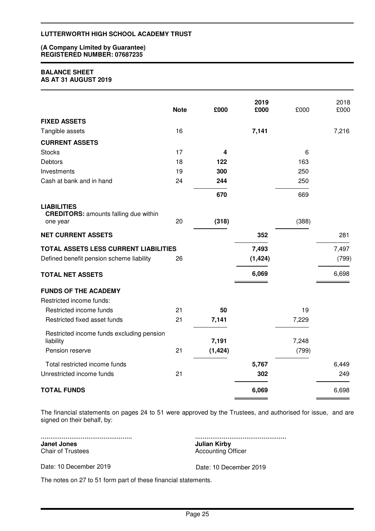#### **(A Company Limited by Guarantee) REGISTERED NUMBER: 07687235**

#### **BALANCE SHEET AS AT 31 AUGUST 2019**

|                                                                                   | <b>Note</b> | £000     | 2019<br>£000      | £000  | 2018<br>£000   |
|-----------------------------------------------------------------------------------|-------------|----------|-------------------|-------|----------------|
| <b>FIXED ASSETS</b>                                                               |             |          |                   |       |                |
| Tangible assets                                                                   | 16          |          | 7,141             |       | 7,216          |
| <b>CURRENT ASSETS</b>                                                             |             |          |                   |       |                |
| <b>Stocks</b>                                                                     | 17          | 4        |                   | 6     |                |
| <b>Debtors</b>                                                                    | 18          | 122      |                   | 163   |                |
| Investments                                                                       | 19          | 300      |                   | 250   |                |
| Cash at bank and in hand                                                          | 24          | 244      |                   | 250   |                |
|                                                                                   |             | 670      |                   | 669   |                |
| <b>LIABILITIES</b><br><b>CREDITORS: amounts falling due within</b><br>one year    | 20          | (318)    |                   | (388) |                |
| <b>NET CURRENT ASSETS</b>                                                         |             |          | 352               |       | 281            |
| TOTAL ASSETS LESS CURRENT LIABILITIES<br>Defined benefit pension scheme liability | 26          |          | 7,493<br>(1, 424) |       | 7,497<br>(799) |
| <b>TOTAL NET ASSETS</b>                                                           |             |          | 6,069             |       | 6,698          |
| <b>FUNDS OF THE ACADEMY</b>                                                       |             |          |                   |       |                |
| Restricted income funds:                                                          |             |          |                   |       |                |
| Restricted income funds                                                           | 21          | 50       |                   | 19    |                |
| Restricted fixed asset funds                                                      | 21          | 7,141    |                   | 7,229 |                |
| Restricted income funds excluding pension<br>liability                            |             | 7,191    |                   | 7,248 |                |
| Pension reserve                                                                   | 21          | (1, 424) |                   | (799) |                |
| Total restricted income funds                                                     |             |          | 5,767             |       | 6,449          |
| Unrestricted income funds                                                         | 21          |          | 302               |       | 249            |
| <b>TOTAL FUNDS</b>                                                                |             |          | 6,069             |       | 6,698          |

The financial statements on pages 24 to 51 were approved by the Trustees, and authorised for issue, and are signed on their behalf, by:

................................................ **Janet Jones** Chair of Trustees

................................................ **Julian Kirby**

Accounting Officer

Date: 10 December 2019 Date: 10 December 2019

The notes on 27 to 51 form part of these financial statements.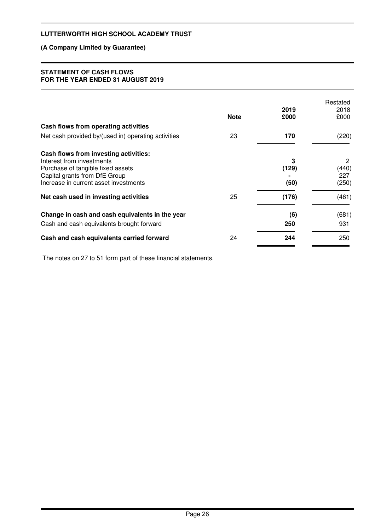## **(A Company Limited by Guarantee)**

### **STATEMENT OF CASH FLOWS FOR THE YEAR ENDED 31 AUGUST 2019**

|                                                                                                                                                                                   | <b>Note</b> | 2019<br>£000       | Restated<br>2018<br>£000   |
|-----------------------------------------------------------------------------------------------------------------------------------------------------------------------------------|-------------|--------------------|----------------------------|
| Cash flows from operating activities                                                                                                                                              |             |                    |                            |
| Net cash provided by/(used in) operating activities                                                                                                                               | 23          | 170                | (220)                      |
| Cash flows from investing activities:<br>Interest from investments<br>Purchase of tangible fixed assets<br>Capital grants from DfE Group<br>Increase in current asset investments |             | 3<br>(129)<br>(50) | 2<br>(440)<br>227<br>(250) |
| Net cash used in investing activities                                                                                                                                             | 25          | (176)              | (461)                      |
| Change in cash and cash equivalents in the year                                                                                                                                   |             | (6)                | (681)                      |
| Cash and cash equivalents brought forward                                                                                                                                         |             | 250                | 931                        |
| Cash and cash equivalents carried forward                                                                                                                                         | 24          | 244                | 250                        |

The notes on 27 to 51 form part of these financial statements.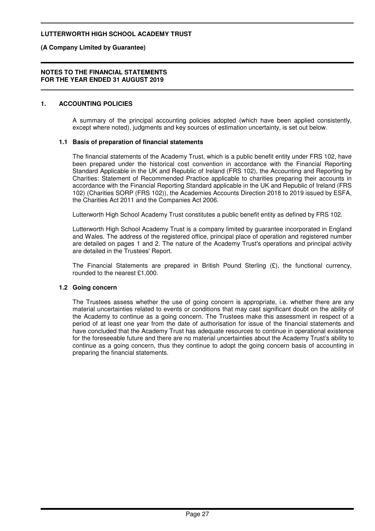### **(A Company Limited by Guarantee)**

#### **NOTES TO THE FINANCIAL STATEMENTS FOR THE YEAR ENDED 31 AUGUST 2019**

### **1. ACCOUNTING POLICIES**

A summary of the principal accounting policies adopted (which have been applied consistently, except where noted), judgments and key sources of estimation uncertainty, is set out below.

### **1.1 Basis of preparation of financial statements**

The financial statements of the Academy Trust, which is a public benefit entity under FRS 102, have been prepared under the historical cost convention in accordance with the Financial Reporting Standard Applicable in the UK and Republic of Ireland (FRS 102), the Accounting and Reporting by Charities: Statement of Recommended Practice applicable to charities preparing their accounts in accordance with the Financial Reporting Standard applicable in the UK and Republic of Ireland (FRS 102) (Charities SORP (FRS 102)), the Academies Accounts Direction 2018 to 2019 issued by ESFA, the Charities Act 2011 and the Companies Act 2006.

Lutterworth High School Academy Trust constitutes a public benefit entity as defined by FRS 102.

Lutterworth High School Academy Trust is a company limited by guarantee incorporated in England and Wales. The address of the registered office, principal place of operation and registered number are detailed on pages 1 and 2. The nature of the Academy Trust's operations and principal activity are detailed in the Trustees' Report.

The Financial Statements are prepared in British Pound Sterling (£), the functional currency, rounded to the nearest £1,000.

### **1.2 Going concern**

The Trustees assess whether the use of going concern is appropriate, i.e. whether there are any material uncertainties related to events or conditions that may cast significant doubt on the ability of the Academy to continue as a going concern. The Trustees make this assessment in respect of a period of at least one year from the date of authorisation for issue of the financial statements and have concluded that the Academy Trust has adequate resources to continue in operational existence for the foreseeable future and there are no material uncertainties about the Academy Trust's ability to continue as a going concern, thus they continue to adopt the going concern basis of accounting in preparing the financial statements.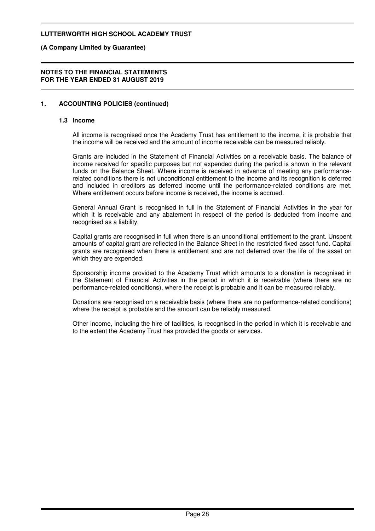### **(A Company Limited by Guarantee)**

#### **NOTES TO THE FINANCIAL STATEMENTS FOR THE YEAR ENDED 31 AUGUST 2019**

## **1. ACCOUNTING POLICIES (continued)**

#### **1.3 Income**

All income is recognised once the Academy Trust has entitlement to the income, it is probable that the income will be received and the amount of income receivable can be measured reliably.

Grants are included in the Statement of Financial Activities on a receivable basis. The balance of income received for specific purposes but not expended during the period is shown in the relevant funds on the Balance Sheet. Where income is received in advance of meeting any performancerelated conditions there is not unconditional entitlement to the income and its recognition is deferred and included in creditors as deferred income until the performance-related conditions are met. Where entitlement occurs before income is received, the income is accrued.

General Annual Grant is recognised in full in the Statement of Financial Activities in the year for which it is receivable and any abatement in respect of the period is deducted from income and recognised as a liability.

Capital grants are recognised in full when there is an unconditional entitlement to the grant. Unspent amounts of capital grant are reflected in the Balance Sheet in the restricted fixed asset fund. Capital grants are recognised when there is entitlement and are not deferred over the life of the asset on which they are expended.

Sponsorship income provided to the Academy Trust which amounts to a donation is recognised in the Statement of Financial Activities in the period in which it is receivable (where there are no performance-related conditions), where the receipt is probable and it can be measured reliably.

Donations are recognised on a receivable basis (where there are no performance-related conditions) where the receipt is probable and the amount can be reliably measured.

Other income, including the hire of facilities, is recognised in the period in which it is receivable and to the extent the Academy Trust has provided the goods or services.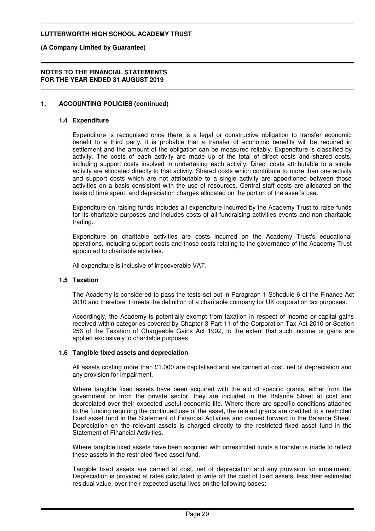**(A Company Limited by Guarantee)**

#### **NOTES TO THE FINANCIAL STATEMENTS FOR THE YEAR ENDED 31 AUGUST 2019**

## **1. ACCOUNTING POLICIES (continued)**

### **1.4 Expenditure**

Expenditure is recognised once there is a legal or constructive obligation to transfer economic benefit to a third party, it is probable that a transfer of economic benefits will be required in settlement and the amount of the obligation can be measured reliably. Expenditure is classified by activity. The costs of each activity are made up of the total of direct costs and shared costs, including support costs involved in undertaking each activity. Direct costs attributable to a single activity are allocated directly to that activity. Shared costs which contribute to more than one activity and support costs which are not attributable to a single activity are apportioned between those activities on a basis consistent with the use of resources. Central staff costs are allocated on the basis of time spent, and depreciation charges allocated on the portion of the asset's use.

Expenditure on raising funds includes all expenditure incurred by the Academy Trust to raise funds for its charitable purposes and includes costs of all fundraising activities events and non-charitable trading.

Expenditure on charitable activities are costs incurred on the Academy Trust's educational operations, including support costs and those costs relating to the governance of the Academy Trust appointed to charitable activities.

All expenditure is inclusive of irrecoverable VAT.

### **1.5 Taxation**

The Academy is considered to pass the tests set out in Paragraph 1 Schedule 6 of the Finance Act 2010 and therefore it meets the definition of a charitable company for UK corporation tax purposes.

Accordingly, the Academy is potentially exempt from taxation in respect of income or capital gains received within categories covered by Chapter 3 Part 11 of the Corporation Tax Act 2010 or Section 256 of the Taxation of Chargeable Gains Act 1992, to the extent that such income or gains are applied exclusively to charitable purposes.

### **1.6 Tangible fixed assets and depreciation**

All assets costing more than £1,000 are capitalised and are carried at cost, net of depreciation and any provision for impairment.

Where tangible fixed assets have been acquired with the aid of specific grants, either from the government or from the private sector, they are included in the Balance Sheet at cost and depreciated over their expected useful economic life. Where there are specific conditions attached to the funding requiring the continued use of the asset, the related grants are credited to a restricted fixed asset fund in the Statement of Financial Activities and carried forward in the Balance Sheet. Depreciation on the relevant assets is charged directly to the restricted fixed asset fund in the Statement of Financial Activities.

Where tangible fixed assets have been acquired with unrestricted funds a transfer is made to reflect these assets in the restricted fixed asset fund.

Tangible fixed assets are carried at cost, net of depreciation and any provision for impairment. Depreciation is provided at rates calculated to write off the cost of fixed assets, less their estimated residual value, over their expected useful lives on the following bases: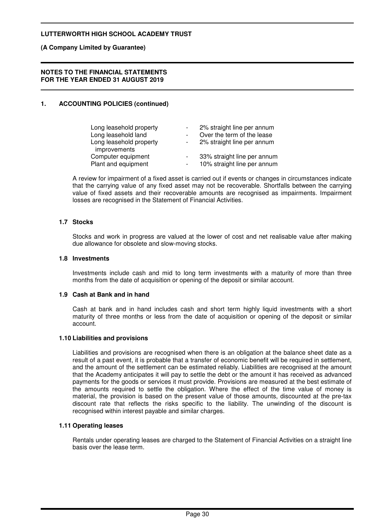### **(A Company Limited by Guarantee)**

#### **NOTES TO THE FINANCIAL STATEMENTS FOR THE YEAR ENDED 31 AUGUST 2019**

## **1. ACCOUNTING POLICIES (continued)**

| Long leasehold property<br>Long leasehold land |        | 2% straight line per annum<br>Over the term of the lease |
|------------------------------------------------|--------|----------------------------------------------------------|
| Long leasehold property                        |        | 2% straight line per annum                               |
| improvements<br>Computer equipment             |        | 33% straight line per annum                              |
| Plant and equipment                            | $\sim$ | 10% straight line per annum                              |

A review for impairment of a fixed asset is carried out if events or changes in circumstances indicate that the carrying value of any fixed asset may not be recoverable. Shortfalls between the carrying value of fixed assets and their recoverable amounts are recognised as impairments. Impairment losses are recognised in the Statement of Financial Activities.

### **1.7 Stocks**

Stocks and work in progress are valued at the lower of cost and net realisable value after making due allowance for obsolete and slow-moving stocks.

### **1.8 Investments**

Investments include cash and mid to long term investments with a maturity of more than three months from the date of acquisition or opening of the deposit or similar account.

#### **1.9 Cash at Bank and in hand**

Cash at bank and in hand includes cash and short term highly liquid investments with a short maturity of three months or less from the date of acquisition or opening of the deposit or similar account.

#### **1.10 Liabilities and provisions**

Liabilities and provisions are recognised when there is an obligation at the balance sheet date as a result of a past event, it is probable that a transfer of economic benefit will be required in settlement, and the amount of the settlement can be estimated reliably. Liabilities are recognised at the amount that the Academy anticipates it will pay to settle the debt or the amount it has received as advanced payments for the goods or services it must provide. Provisions are measured at the best estimate of the amounts required to settle the obligation. Where the effect of the time value of money is material, the provision is based on the present value of those amounts, discounted at the pre-tax discount rate that reflects the risks specific to the liability. The unwinding of the discount is recognised within interest payable and similar charges.

### **1.11 Operating leases**

Rentals under operating leases are charged to the Statement of Financial Activities on a straight line basis over the lease term.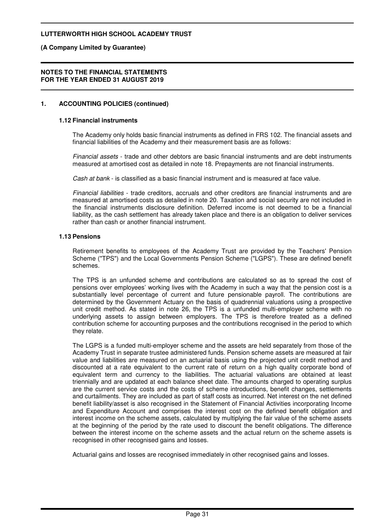### **(A Company Limited by Guarantee)**

#### **NOTES TO THE FINANCIAL STATEMENTS FOR THE YEAR ENDED 31 AUGUST 2019**

## **1. ACCOUNTING POLICIES (continued)**

#### **1.12 Financial instruments**

The Academy only holds basic financial instruments as defined in FRS 102. The financial assets and financial liabilities of the Academy and their measurement basis are as follows:

Financial assets - trade and other debtors are basic financial instruments and are debt instruments measured at amortised cost as detailed in note 18. Prepayments are not financial instruments.

Cash at bank - is classified as a basic financial instrument and is measured at face value.

Financial liabilities - trade creditors, accruals and other creditors are financial instruments and are measured at amortised costs as detailed in note 20. Taxation and social security are not included in the financial instruments disclosure definition. Deferred income is not deemed to be a financial liability, as the cash settlement has already taken place and there is an obligation to deliver services rather than cash or another financial instrument.

### **1.13 Pensions**

Retirement benefits to employees of the Academy Trust are provided by the Teachers' Pension Scheme ("TPS") and the Local Governments Pension Scheme ("LGPS"). These are defined benefit schemes.

The TPS is an unfunded scheme and contributions are calculated so as to spread the cost of pensions over employees' working lives with the Academy in such a way that the pension cost is a substantially level percentage of current and future pensionable payroll. The contributions are determined by the Government Actuary on the basis of quadrennial valuations using a prospective unit credit method. As stated in note 26, the TPS is a unfunded multi-employer scheme with no underlying assets to assign between employers. The TPS is therefore treated as a defined contribution scheme for accounting purposes and the contributions recognised in the period to which they relate.

The LGPS is a funded multi-employer scheme and the assets are held separately from those of the Academy Trust in separate trustee administered funds. Pension scheme assets are measured at fair value and liabilities are measured on an actuarial basis using the projected unit credit method and discounted at a rate equivalent to the current rate of return on a high quality corporate bond of equivalent term and currency to the liabilities. The actuarial valuations are obtained at least triennially and are updated at each balance sheet date. The amounts charged to operating surplus are the current service costs and the costs of scheme introductions, benefit changes, settlements and curtailments. They are included as part of staff costs as incurred. Net interest on the net defined benefit liability/asset is also recognised in the Statement of Financial Activities incorporating Income and Expenditure Account and comprises the interest cost on the defined benefit obligation and interest income on the scheme assets, calculated by multiplying the fair value of the scheme assets at the beginning of the period by the rate used to discount the benefit obligations. The difference between the interest income on the scheme assets and the actual return on the scheme assets is recognised in other recognised gains and losses.

Actuarial gains and losses are recognised immediately in other recognised gains and losses.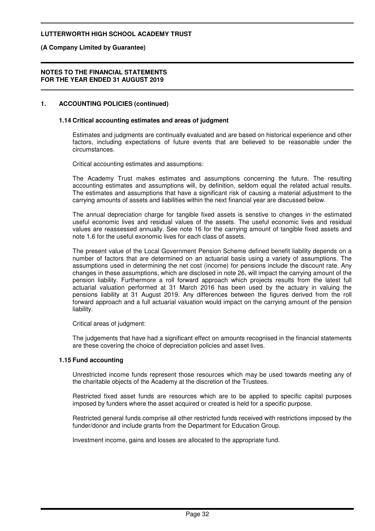### **(A Company Limited by Guarantee)**

#### **NOTES TO THE FINANCIAL STATEMENTS FOR THE YEAR ENDED 31 AUGUST 2019**

### **1. ACCOUNTING POLICIES (continued)**

### **1.14 Critical accounting estimates and areas of judgment**

Estimates and judgments are continually evaluated and are based on historical experience and other factors, including expectations of future events that are believed to be reasonable under the circumstances.

Critical accounting estimates and assumptions:

The Academy Trust makes estimates and assumptions concerning the future. The resulting accounting estimates and assumptions will, by definition, seldom equal the related actual results. The estimates and assumptions that have a significant risk of causing a material adjustment to the carrying amounts of assets and liabilities within the next financial year are discussed below.

The annual depreciation charge for tangible fixed assets is senstive to changes in the estimated useful economic lives and residual values of the assets. The useful economic lives and residual values are reassessed annually. See note 16 for the carrying amount of tangible fixed assets and note 1.6 for the useful exonomic lives for each class of assets.

The present value of the Local Government Pension Scheme defined benefit liability depends on a number of factors that are determined on an actuarial basis using a variety of assumptions. The assumptions used in determining the net cost (income) for pensions include the discount rate. Any changes in these assumptions, which are disclosed in note 26, will impact the carrying amount of the pension liability. Furthermore a roll forward approach which projects results from the latest full actuarial valuation performed at 31 March 2016 has been used by the actuary in valuing the pensions liability at 31 August 2019. Any differences between the figures derived from the roll forward approach and a full actuarial valuation would impact on the carrying amount of the pension liability.

Critical areas of judgment:

The judgements that have had a significant effect on amounts recognised in the financial statements are these covering the choice of depreciation policies and asset lives.

### **1.15 Fund accounting**

Unrestricted income funds represent those resources which may be used towards meeting any of the charitable objects of the Academy at the discretion of the Trustees.

Restricted fixed asset funds are resources which are to be applied to specific capital purposes imposed by funders where the asset acquired or created is held for a specific purpose.

Restricted general funds comprise all other restricted funds received with restrictions imposed by the funder/donor and include grants from the Department for Education Group.

Investment income, gains and losses are allocated to the appropriate fund.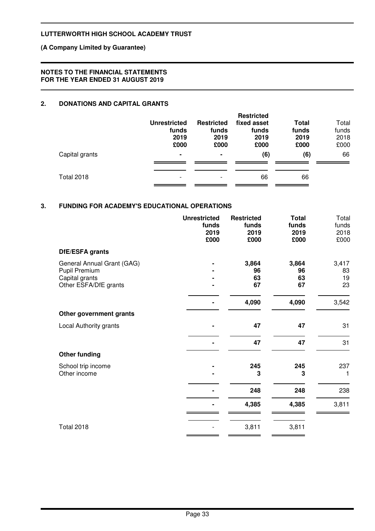## **(A Company Limited by Guarantee)**

### **NOTES TO THE FINANCIAL STATEMENTS FOR THE YEAR ENDED 31 AUGUST 2019**

## **2. DONATIONS AND CAPITAL GRANTS**

|                   | <b>Unrestricted</b><br>funds<br>2019<br>£000 | <b>Restricted</b><br>funds<br>2019<br>£000 | <b>Restricted</b><br>fixed asset<br>funds<br>2019<br>£000 | Total<br>funds<br>2019<br>£000 | Total<br>funds<br>2018<br>£000 |
|-------------------|----------------------------------------------|--------------------------------------------|-----------------------------------------------------------|--------------------------------|--------------------------------|
| Capital grants    | $\blacksquare$                               | ۰                                          | (6)                                                       | (6)                            | 66                             |
| <b>Total 2018</b> | $\overline{\phantom{a}}$                     |                                            | 66                                                        | 66                             |                                |

### **3. FUNDING FOR ACADEMY'S EDUCATIONAL OPERATIONS**

|                                                                                        | <b>Unrestricted</b><br>funds<br>2019<br>£000 | <b>Restricted</b><br>funds<br>2019<br>£000 | <b>Total</b><br>funds<br>2019<br>£000 | Total<br>funds<br>2018<br>£000 |
|----------------------------------------------------------------------------------------|----------------------------------------------|--------------------------------------------|---------------------------------------|--------------------------------|
| DfE/ESFA grants                                                                        |                                              |                                            |                                       |                                |
| General Annual Grant (GAG)<br>Pupil Premium<br>Capital grants<br>Other ESFA/DfE grants |                                              | 3,864<br>96<br>63<br>67                    | 3,864<br>96<br>63<br>67               | 3,417<br>83<br>19<br>23        |
|                                                                                        |                                              | 4,090                                      | 4,090                                 | 3,542                          |
| Other government grants                                                                |                                              |                                            |                                       |                                |
| Local Authority grants                                                                 |                                              | 47                                         | 47                                    | 31                             |
|                                                                                        |                                              | 47                                         | 47                                    | 31                             |
| <b>Other funding</b>                                                                   |                                              |                                            |                                       |                                |
| School trip income<br>Other income                                                     |                                              | 245<br>3                                   | 245<br>3                              | 237<br>1                       |
|                                                                                        |                                              | 248                                        | 248                                   | 238                            |
|                                                                                        |                                              | 4,385                                      | 4,385                                 | 3,811                          |
| <b>Total 2018</b>                                                                      |                                              | 3,811                                      | 3,811                                 |                                |
|                                                                                        |                                              |                                            |                                       |                                |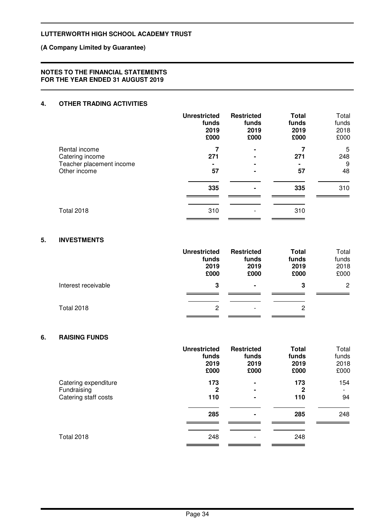## **(A Company Limited by Guarantee)**

### **NOTES TO THE FINANCIAL STATEMENTS FOR THE YEAR ENDED 31 AUGUST 2019**

## **4. OTHER TRADING ACTIVITIES**

|                                          | <b>Unrestricted</b><br>funds<br>2019<br>£000 | <b>Restricted</b><br>funds<br>2019<br>£000 | <b>Total</b><br>funds<br>2019<br>£000 | Total<br>funds<br>2018<br>£000 |
|------------------------------------------|----------------------------------------------|--------------------------------------------|---------------------------------------|--------------------------------|
| Rental income                            | 271                                          | $\blacksquare$                             | 271                                   | 5<br>248                       |
| Catering income                          |                                              | $\blacksquare$                             |                                       |                                |
| Teacher placement income<br>Other income | 57                                           | $\blacksquare$                             | 57                                    | 9<br>48                        |
|                                          | 335                                          | ۰                                          | 335                                   | 310                            |
| <b>Total 2018</b>                        | 310                                          |                                            | 310                                   |                                |

### **5. INVESTMENTS**

|                     | <b>Unrestricted</b><br>funds<br>2019<br>£000 | <b>Restricted</b><br>funds<br>2019<br>£000 | <b>Total</b><br>funds<br>2019<br>£000 | Total<br>funds<br>2018<br>£000 |
|---------------------|----------------------------------------------|--------------------------------------------|---------------------------------------|--------------------------------|
| Interest receivable | 3                                            | $\blacksquare$                             | 3                                     | $\overline{2}$                 |
| <b>Total 2018</b>   | 2                                            | $\overline{\phantom{a}}$                   | 2                                     |                                |

### **6. RAISING FUNDS**

|                                                             | <b>Unrestricted</b><br>funds<br>2019<br>£000 | <b>Restricted</b><br>funds<br>2019<br>£000 | <b>Total</b><br>funds<br>2019<br>£000 | Total<br>funds<br>2018<br>£000 |
|-------------------------------------------------------------|----------------------------------------------|--------------------------------------------|---------------------------------------|--------------------------------|
| Catering expenditure<br>Fundraising<br>Catering staff costs | 173<br>$\mathbf{2}$<br>110                   | ۰<br>۰<br>۰                                | 173<br>$\mathbf{2}$<br>110            | 154<br>94                      |
|                                                             | 285                                          | ۰                                          | 285                                   | 248                            |
| <b>Total 2018</b>                                           | 248                                          | $\overline{\phantom{a}}$                   | 248                                   |                                |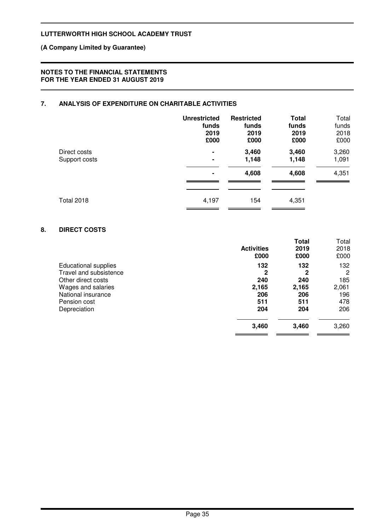## **(A Company Limited by Guarantee)**

### **NOTES TO THE FINANCIAL STATEMENTS FOR THE YEAR ENDED 31 AUGUST 2019**

## **7. ANALYSIS OF EXPENDITURE ON CHARITABLE ACTIVITIES**

|                   | <b>Unrestricted</b> | <b>Restricted</b> | <b>Total</b> | Total |
|-------------------|---------------------|-------------------|--------------|-------|
|                   | funds               | funds             | funds        | funds |
|                   | 2019                | 2019              | 2019         | 2018  |
|                   | £000                | £000              | £000         | £000  |
| Direct costs      | $\blacksquare$      | 3,460             | 3,460        | 3,260 |
| Support costs     | $\blacksquare$      | 1,148             | 1,148        | 1,091 |
|                   | $\blacksquare$      | 4,608             | 4,608        | 4,351 |
| <b>Total 2018</b> | 4,197               | 154               | 4,351        |       |

### **8. DIRECT COSTS**

|                                                                | <b>Activities</b><br>£000 | Total<br>2019<br>£000 | Total<br>2018<br>£000 |
|----------------------------------------------------------------|---------------------------|-----------------------|-----------------------|
| Educational supplies<br>Travel and subsistence                 | 132<br>2                  | 132<br>2<br>240       | 132<br>2              |
| Other direct costs<br>Wages and salaries<br>National insurance | 240<br>2,165<br>206       | 2,165<br>206          | 185<br>2,061<br>196   |
| Pension cost<br>Depreciation                                   | 511<br>204                | 511<br>204            | 478<br>206            |
|                                                                | 3,460                     | 3,460                 | 3,260                 |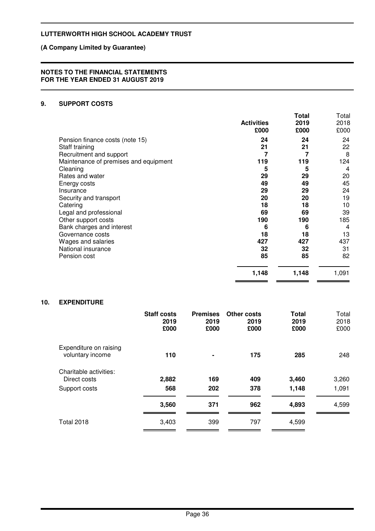## **(A Company Limited by Guarantee)**

### **NOTES TO THE FINANCIAL STATEMENTS FOR THE YEAR ENDED 31 AUGUST 2019**

## **9. SUPPORT COSTS**

|                                       | <b>Activities</b><br>£000 | Total<br>2019<br>£000 | Total<br>2018<br>£000 |
|---------------------------------------|---------------------------|-----------------------|-----------------------|
| Pension finance costs (note 15)       | 24                        | 24                    | 24                    |
| Staff training                        | 21                        | 21                    | 22                    |
| Recruitment and support               | 7                         | 7                     | 8                     |
| Maintenance of premises and equipment | 119                       | 119                   | 124                   |
| Cleaning                              | 5                         | 5                     | 4                     |
| Rates and water                       | 29                        | 29                    | 20                    |
| Energy costs                          | 49                        | 49                    | 45                    |
| Insurance                             | 29                        | 29                    | 24                    |
| Security and transport                | 20                        | 20                    | 19                    |
| Catering                              | 18                        | 18                    | 10                    |
| Legal and professional                | 69                        | 69                    | 39                    |
| Other support costs                   | 190                       | 190                   | 185                   |
| Bank charges and interest             | 6                         | 6                     | 4                     |
| Governance costs                      | 18                        | 18                    | 13                    |
| Wages and salaries                    | 427                       | 427                   | 437                   |
| National insurance                    | 32                        | 32                    | 31                    |
| Pension cost                          | 85                        | 85                    | 82                    |
|                                       | 1,148                     | 1,148                 | 1,091                 |

 $\overline{\phantom{0}}$ 

 $\sim$   $\sim$ 

÷,  $\equiv$ 

## **10. EXPENDITURE**

|                                            | <b>Staff costs</b><br>2019<br>£000 | <b>Premises</b><br>2019<br>£000 | <b>Other costs</b><br>2019<br>£000 | <b>Total</b><br>2019<br>£000 | Total<br>2018<br>£000 |
|--------------------------------------------|------------------------------------|---------------------------------|------------------------------------|------------------------------|-----------------------|
| Expenditure on raising<br>voluntary income | 110                                | $\blacksquare$                  | 175                                | 285                          | 248                   |
| Charitable activities:<br>Direct costs     | 2,882                              | 169                             | 409                                | 3,460                        | 3,260                 |
| Support costs                              | 568                                | 202                             | 378                                | 1,148                        | 1,091                 |
|                                            | 3,560                              | 371                             | 962                                | 4,893                        | 4,599                 |
| <b>Total 2018</b>                          | 3,403                              | 399                             | 797                                | 4,599                        |                       |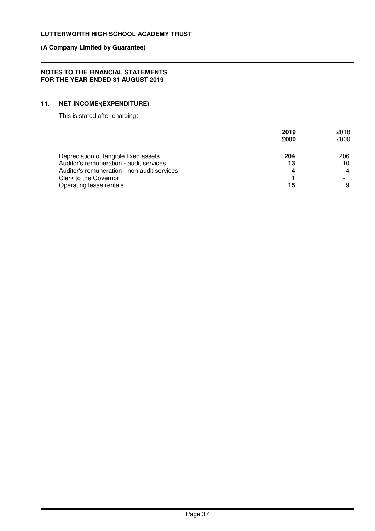## **(A Company Limited by Guarantee)**

### **NOTES TO THE FINANCIAL STATEMENTS FOR THE YEAR ENDED 31 AUGUST 2019**

## **11. NET INCOME/(EXPENDITURE)**

This is stated after charging:

|                                             | 2019<br>£000 | 2018<br>£000 |
|---------------------------------------------|--------------|--------------|
| Depreciation of tangible fixed assets       | 204          | 206          |
| Auditor's remuneration - audit services     | 13           | 10           |
| Auditor's remuneration - non audit services | 4            | 4            |
| Clerk to the Governor                       |              |              |
| Operating lease rentals                     | 15           | 9            |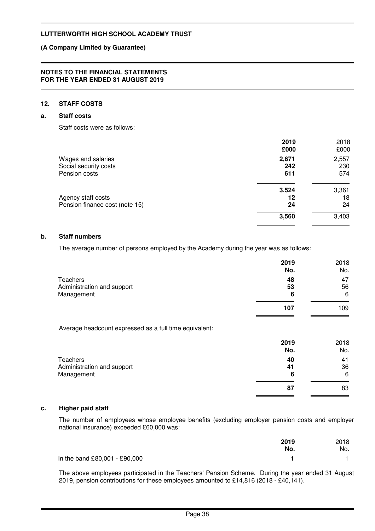### **(A Company Limited by Guarantee)**

#### **NOTES TO THE FINANCIAL STATEMENTS FOR THE YEAR ENDED 31 AUGUST 2019**

### **12. STAFF COSTS**

### **a. Staff costs**

Staff costs were as follows:

|                                | 2019<br>£000 | 2018<br>£000 |
|--------------------------------|--------------|--------------|
| Wages and salaries             | 2,671        | 2,557        |
| Social security costs          | 242          | 230          |
| Pension costs                  | 611          | 574          |
|                                | 3,524        | 3,361        |
| Agency staff costs             | 12           | 18           |
| Pension finance cost (note 15) | 24           | 24           |
|                                | 3,560        | 3,403        |
|                                |              |              |

#### **b. Staff numbers**

The average number of persons employed by the Academy during the year was as follows:

|                            | 2019<br>No. | 2018<br>No. |
|----------------------------|-------------|-------------|
| Teachers                   | 48          | 47          |
| Administration and support | 53          | 56          |
| Management                 | 6           | 6           |
|                            | 107         | 109         |

Average headcount expressed as a full time equivalent:

|                            | 2019<br>No. | 2018<br>No. |
|----------------------------|-------------|-------------|
| Teachers                   | 40          | 41          |
| Administration and support | 41          | 36          |
| Management                 | 6           | 6           |
|                            | 87          | 83          |
|                            |             |             |

## **c. Higher paid staff**

The number of employees whose employee benefits (excluding employer pension costs and employer national insurance) exceeded £60,000 was:

|                               | 2019 | 2018 |
|-------------------------------|------|------|
|                               | No.  | No.  |
| In the band £80,001 - £90,000 |      |      |

The above employees participated in the Teachers' Pension Scheme. During the year ended 31 August 2019, pension contributions for these employees amounted to £14,816 (2018 - £40,141).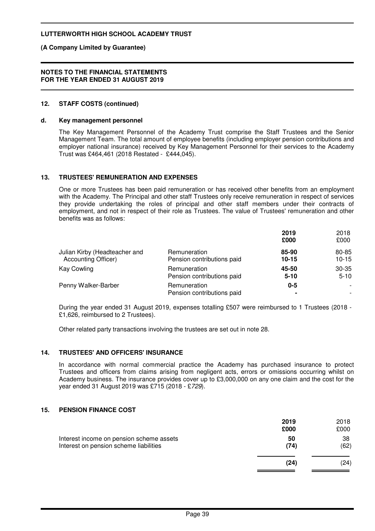**(A Company Limited by Guarantee)**

#### **NOTES TO THE FINANCIAL STATEMENTS FOR THE YEAR ENDED 31 AUGUST 2019**

### **12. STAFF COSTS (continued)**

### **d. Key management personnel**

The Key Management Personnel of the Academy Trust comprise the Staff Trustees and the Senior Management Team. The total amount of employee benefits (including employer pension contributions and employer national insurance) received by Key Management Personnel for their services to the Academy Trust was £464,461 (2018 Restated - £444,045).

### **13. TRUSTEES' REMUNERATION AND EXPENSES**

One or more Trustees has been paid remuneration or has received other benefits from an employment with the Academy. The Principal and other staff Trustees only receive remuneration in respect of services they provide undertaking the roles of principal and other staff members under their contracts of employment, and not in respect of their role as Trustees. The value of Trustees' remuneration and other benefits was as follows:

|                               |                                            | 2019<br>£000 | 2018<br>£000                                         |
|-------------------------------|--------------------------------------------|--------------|------------------------------------------------------|
| Julian Kirby (Headteacher and | Remuneration                               | 85-90        | 80-85                                                |
| <b>Accounting Officer)</b>    | Pension contributions paid                 | $10 - 15$    | $10 - 15$                                            |
| <b>Kay Cowling</b>            | Remuneration                               | 45-50        | $30 - 35$                                            |
|                               | Pension contributions paid                 | $5 - 10$     | $5 - 10$                                             |
| Penny Walker-Barber           | Remuneration<br>Pension contributions paid | $0 - 5$      | $\overline{\phantom{a}}$<br>$\overline{\phantom{a}}$ |

During the year ended 31 August 2019, expenses totalling £507 were reimbursed to 1 Trustees (2018 - £1,626, reimbursed to 2 Trustees).

Other related party transactions involving the trustees are set out in note 28.

### **14. TRUSTEES' AND OFFICERS' INSURANCE**

In accordance with normal commercial practice the Academy has purchased insurance to protect Trustees and officers from claims arising from negligent acts, errors or omissions occurring whilst on Academy business. The insurance provides cover up to £3,000,000 on any one claim and the cost for the year ended 31 August 2019 was £715 (2018 - £729).

### **15. PENSION FINANCE COST**

|                                                                                    | 2019       | 2018       |
|------------------------------------------------------------------------------------|------------|------------|
|                                                                                    | £000       | £000       |
| Interest income on pension scheme assets<br>Interest on pension scheme liabilities | 50<br>(74) | 38<br>(62) |
|                                                                                    | (24)       | (24)       |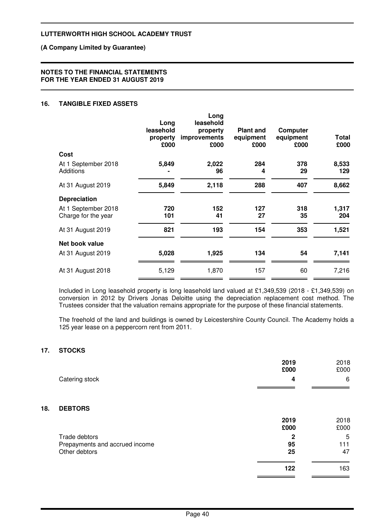### **(A Company Limited by Guarantee)**

#### **NOTES TO THE FINANCIAL STATEMENTS FOR THE YEAR ENDED 31 AUGUST 2019**

### **16. TANGIBLE FIXED ASSETS**

|                                            | Long<br>leasehold<br>property<br>£000 | Long<br>leasehold<br>property<br>improvements<br>£000 | <b>Plant and</b><br>equipment<br>£000 | Computer<br>equipment<br>£000 | Total<br>£000 |
|--------------------------------------------|---------------------------------------|-------------------------------------------------------|---------------------------------------|-------------------------------|---------------|
| Cost                                       |                                       |                                                       |                                       |                               |               |
| At 1 September 2018<br><b>Additions</b>    | 5,849                                 | 2,022<br>96                                           | 284<br>4                              | 378<br>29                     | 8,533<br>129  |
| At 31 August 2019                          | 5,849                                 | 2,118                                                 | 288                                   | 407                           | 8,662         |
| <b>Depreciation</b>                        |                                       |                                                       |                                       |                               |               |
| At 1 September 2018<br>Charge for the year | 720<br>101                            | 152<br>41                                             | 127<br>27                             | 318<br>35                     | 1,317<br>204  |
| At 31 August 2019                          | 821                                   | 193                                                   | 154                                   | 353                           | 1,521         |
| Net book value                             |                                       |                                                       |                                       |                               |               |
| At 31 August 2019                          | 5,028                                 | 1,925                                                 | 134                                   | 54                            | 7,141         |
| At 31 August 2018                          | 5,129                                 | 1,870                                                 | 157                                   | 60                            | 7,216         |
|                                            |                                       |                                                       |                                       |                               |               |

Included in Long leasehold property is long leasehold land valued at £1,349,539 (2018 - £1,349,539) on conversion in 2012 by Drivers Jonas Deloitte using the depreciation replacement cost method. The Trustees consider that the valuation remains appropriate for the purpose of these financial statements.

The freehold of the land and buildings is owned by Leicestershire County Council. The Academy holds a 125 year lease on a peppercorn rent from 2011.

## **17. STOCKS**

**18. DEBTORS**

|                                                                  | 2019<br>£000            | 2018<br>£000   |
|------------------------------------------------------------------|-------------------------|----------------|
| Catering stock                                                   | 4                       | 6              |
| <b>DEBTORS</b>                                                   |                         |                |
|                                                                  | 2019<br>£000            | 2018<br>£000   |
| Trade debtors<br>Prepayments and accrued income<br>Other debtors | $\mathbf 2$<br>95<br>25 | 5<br>111<br>47 |
|                                                                  | 122                     | 163            |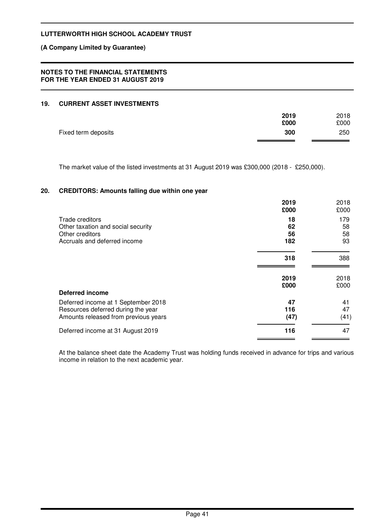### **(A Company Limited by Guarantee)**

### **NOTES TO THE FINANCIAL STATEMENTS FOR THE YEAR ENDED 31 AUGUST 2019**

### **19. CURRENT ASSET INVESTMENTS**

|                     | 2019 | 2018 |
|---------------------|------|------|
|                     | £000 | £000 |
| Fixed term deposits | 300  | 250  |
|                     |      |      |

The market value of the listed investments at 31 August 2019 was £300,000 (2018 - £250,000).

## **20. CREDITORS: Amounts falling due within one year**

|                                                                                                                   | 2019<br>£000      | 2018<br>£000     |
|-------------------------------------------------------------------------------------------------------------------|-------------------|------------------|
| Trade creditors<br>Other taxation and social security                                                             | 18<br>62          | 179<br>58        |
| Other creditors<br>Accruals and deferred income                                                                   | 56<br>182         | 58<br>93         |
|                                                                                                                   | 318               | 388              |
|                                                                                                                   | 2019<br>£000      | 2018<br>£000     |
| <b>Deferred income</b>                                                                                            |                   |                  |
| Deferred income at 1 September 2018<br>Resources deferred during the year<br>Amounts released from previous years | 47<br>116<br>(47) | 41<br>47<br>(41) |
| Deferred income at 31 August 2019                                                                                 | 116               | 47               |

At the balance sheet date the Academy Trust was holding funds received in advance for trips and various income in relation to the next academic year.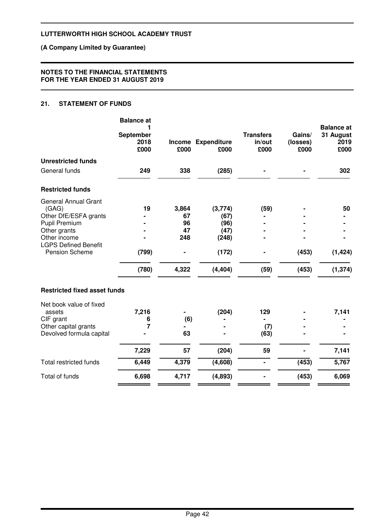## **(A Company Limited by Guarantee)**

### **NOTES TO THE FINANCIAL STATEMENTS FOR THE YEAR ENDED 31 AUGUST 2019**

## **21. STATEMENT OF FUNDS**

|                                               | <b>Balance at</b>         |       |                            |                                    |                            | <b>Balance</b> at         |
|-----------------------------------------------|---------------------------|-------|----------------------------|------------------------------------|----------------------------|---------------------------|
|                                               | September<br>2018<br>£000 | £000  | Income Expenditure<br>£000 | <b>Transfers</b><br>in/out<br>£000 | Gains/<br>(losses)<br>£000 | 31 August<br>2019<br>£000 |
| <b>Unrestricted funds</b>                     |                           |       |                            |                                    |                            |                           |
| General funds                                 | 249                       | 338   | (285)                      |                                    |                            | 302                       |
| <b>Restricted funds</b>                       |                           |       |                            |                                    |                            |                           |
| <b>General Annual Grant</b>                   |                           |       |                            |                                    |                            |                           |
| (GAG)                                         | 19                        | 3,864 | (3,774)                    | (59)                               |                            | 50                        |
| Other DfE/ESFA grants                         |                           | 67    | (67)                       |                                    |                            |                           |
| Pupil Premium                                 |                           | 96    | (96)                       |                                    |                            |                           |
| Other grants                                  |                           | 47    | (47)                       |                                    |                            |                           |
| Other income                                  |                           | 248   | (248)                      |                                    |                            |                           |
| <b>LGPS Defined Benefit</b><br>Pension Scheme | (799)                     |       | (172)                      |                                    | (453)                      | (1, 424)                  |
|                                               | (780)                     | 4,322 | (4, 404)                   | (59)                               | (453)                      | (1, 374)                  |
| <b>Restricted fixed asset funds</b>           |                           |       |                            |                                    |                            |                           |
| Net book value of fixed                       |                           |       |                            |                                    |                            |                           |
| assets                                        | 7,216                     |       | (204)                      | 129                                |                            | 7,141                     |
| CIF grant                                     | 6                         | (6)   |                            |                                    |                            |                           |
| Other capital grants                          | 7                         |       |                            | (7)                                |                            |                           |
| Devolved formula capital                      |                           | 63    |                            | (63)                               |                            |                           |
|                                               | 7,229                     | 57    | (204)                      | 59                                 |                            | 7,141                     |
| <b>Total restricted funds</b>                 | 6,449                     | 4,379 | (4,608)                    | $\blacksquare$                     | (453)                      | 5,767                     |
| Total of funds                                | 6,698                     | 4,717 | (4,893)                    |                                    | (453)                      | 6,069                     |
|                                               |                           |       |                            |                                    |                            |                           |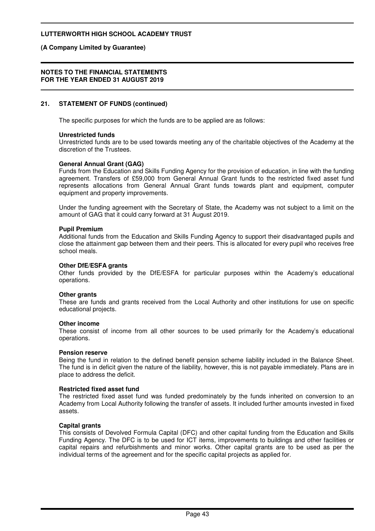### **(A Company Limited by Guarantee)**

#### **NOTES TO THE FINANCIAL STATEMENTS FOR THE YEAR ENDED 31 AUGUST 2019**

### **21. STATEMENT OF FUNDS (continued)**

The specific purposes for which the funds are to be applied are as follows:

### **Unrestricted funds**

Unrestricted funds are to be used towards meeting any of the charitable objectives of the Academy at the discretion of the Trustees.

### **General Annual Grant (GAG)**

Funds from the Education and Skills Funding Agency for the provision of education, in line with the funding agreement. Transfers of £59,000 from General Annual Grant funds to the restricted fixed asset fund represents allocations from General Annual Grant funds towards plant and equipment, computer equipment and property improvements.

Under the funding agreement with the Secretary of State, the Academy was not subject to a limit on the amount of GAG that it could carry forward at 31 August 2019.

#### **Pupil Premium**

Additional funds from the Education and Skills Funding Agency to support their disadvantaged pupils and close the attainment gap between them and their peers. This is allocated for every pupil who receives free school meals.

#### **Other DfE/ESFA grants**

Other funds provided by the DfE/ESFA for particular purposes within the Academy's educational operations.

#### **Other grants**

These are funds and grants received from the Local Authority and other institutions for use on specific educational projects.

#### **Other income**

These consist of income from all other sources to be used primarily for the Academy's educational operations.

#### **Pension reserve**

Being the fund in relation to the defined benefit pension scheme liability included in the Balance Sheet. The fund is in deficit given the nature of the liability, however, this is not payable immediately. Plans are in place to address the deficit.

#### **Restricted fixed asset fund**

The restricted fixed asset fund was funded predominately by the funds inherited on conversion to an Academy from Local Authority following the transfer of assets. It included further amounts invested in fixed assets.

### **Capital grants**

This consists of Devolved Formula Capital (DFC) and other capital funding from the Education and Skills Funding Agency. The DFC is to be used for ICT items, improvements to buildings and other facilities or capital repairs and refurbishments and minor works. Other capital grants are to be used as per the individual terms of the agreement and for the specific capital projects as applied for.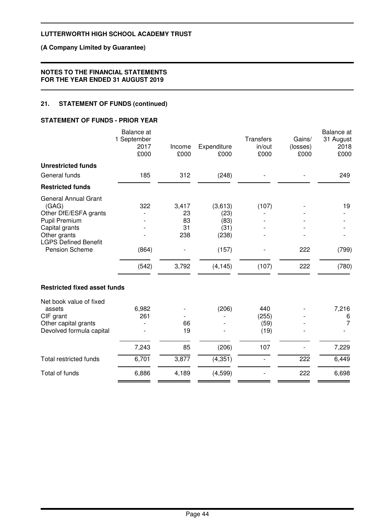### **(A Company Limited by Guarantee)**

### **NOTES TO THE FINANCIAL STATEMENTS FOR THE YEAR ENDED 31 AUGUST 2019**

# **21. STATEMENT OF FUNDS (continued)**

### **STATEMENT OF FUNDS - PRIOR YEAR**

|                                                                                                                                                                          | Balance at<br>1 September<br>2017<br>£000 | Income<br>£000                          | Expenditure<br>£000                                           | <b>Transfers</b><br>in/out<br>£000 | Gains/<br>(losses)<br>£000 | Balance at<br>31 August<br>2018<br>£000 |
|--------------------------------------------------------------------------------------------------------------------------------------------------------------------------|-------------------------------------------|-----------------------------------------|---------------------------------------------------------------|------------------------------------|----------------------------|-----------------------------------------|
| <b>Unrestricted funds</b>                                                                                                                                                |                                           |                                         |                                                               |                                    |                            |                                         |
| General funds                                                                                                                                                            | 185                                       | 312                                     | (248)                                                         |                                    |                            | 249                                     |
| <b>Restricted funds</b>                                                                                                                                                  |                                           |                                         |                                                               |                                    |                            |                                         |
| <b>General Annual Grant</b><br>(GAG)<br>Other DfE/ESFA grants<br><b>Pupil Premium</b><br>Capital grants<br>Other grants<br><b>LGPS Defined Benefit</b><br>Pension Scheme | 322<br>(864)<br>(542)                     | 3,417<br>23<br>83<br>31<br>238<br>3,792 | (3,613)<br>(23)<br>(83)<br>(31)<br>(238)<br>(157)<br>(4, 145) | (107)<br>(107)                     | 222<br>222                 | 19<br>(799)<br>(780)                    |
| <b>Restricted fixed asset funds</b>                                                                                                                                      |                                           |                                         |                                                               |                                    |                            |                                         |
| Net book value of fixed<br>assets<br>CIF grant<br>Other capital grants<br>Devolved formula capital                                                                       | 6,982<br>261                              | 66<br>19                                | (206)                                                         | 440<br>(255)<br>(59)<br>(19)       |                            | 7,216<br>6<br>$\overline{7}$            |
|                                                                                                                                                                          | 7,243                                     | 85                                      | (206)                                                         | 107                                |                            | 7,229                                   |
| <b>Total restricted funds</b>                                                                                                                                            | 6,701                                     | 3,877                                   | (4, 351)                                                      |                                    | 222                        | 6,449                                   |
| Total of funds                                                                                                                                                           | 6,886                                     | 4,189                                   | (4, 599)                                                      |                                    | 222                        | 6,698                                   |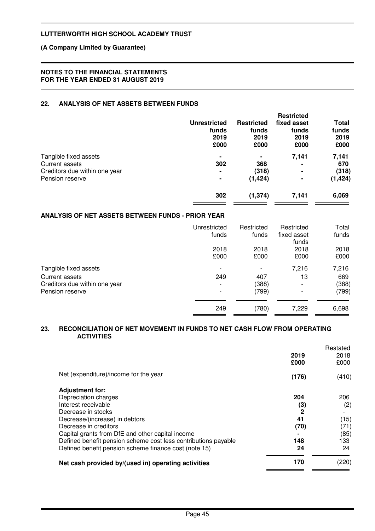### **(A Company Limited by Guarantee)**

### **NOTES TO THE FINANCIAL STATEMENTS FOR THE YEAR ENDED 31 AUGUST 2019**

## **22. ANALYSIS OF NET ASSETS BETWEEN FUNDS**

|                               | <b>Unrestricted</b><br>funds<br>2019<br>£000 | <b>Restricted</b><br>funds<br>2019<br>£000 | <b>Restricted</b><br>fixed asset<br>funds<br>2019<br>£000 | Total<br>funds<br>2019<br>£000 |
|-------------------------------|----------------------------------------------|--------------------------------------------|-----------------------------------------------------------|--------------------------------|
| Tangible fixed assets         | ٠                                            | $\blacksquare$                             | 7,141                                                     | 7,141                          |
| Current assets                | 302                                          | 368                                        | -                                                         | 670                            |
| Creditors due within one year | $\blacksquare$                               | (318)                                      | $\blacksquare$                                            | (318)                          |
| Pension reserve               | $\blacksquare$                               | (1, 424)                                   |                                                           | (1, 424)                       |
|                               | 302                                          | (1, 374)                                   | 7,141                                                     | 6,069                          |
|                               |                                              |                                            |                                                           |                                |

### **ANALYSIS OF NET ASSETS BETWEEN FUNDS - PRIOR YEAR**

|                               | Unrestricted<br>funds | Restricted<br>funds | Restricted<br>fixed asset<br>funds | Total<br>funds |
|-------------------------------|-----------------------|---------------------|------------------------------------|----------------|
|                               | 2018<br>£000          | 2018<br>£000        | 2018<br>£000                       | 2018<br>£000   |
| Tangible fixed assets         |                       |                     | 7,216                              | 7,216          |
| Current assets                | 249                   | 407                 | 13                                 | 669            |
| Creditors due within one year |                       | (388)               |                                    | (388)          |
| Pension reserve               |                       | (799)               |                                    | (799)          |
|                               | 249                   | (780)               | 7,229                              | 6,698          |

### **23. RECONCILIATION OF NET MOVEMENT IN FUNDS TO NET CASH FLOW FROM OPERATING ACTIVITIES**

|                                                                |              | Restated |
|----------------------------------------------------------------|--------------|----------|
|                                                                | 2019         | 2018     |
|                                                                | £000         | £000     |
| Net (expenditure)/income for the year                          | (176)        | (410)    |
| <b>Adjustment for:</b>                                         |              |          |
| Depreciation charges                                           | 204          | 206      |
| Interest receivable                                            | (3)          | (2)      |
| Decrease in stocks                                             | $\mathbf{2}$ |          |
| Decrease/(increase) in debtors                                 | 41           | (15)     |
| Decrease in creditors                                          | (70)         | (71)     |
| Capital grants from DfE and other capital income               |              | (85)     |
| Defined benefit pension scheme cost less contributions payable | 148          | 133      |
| Defined benefit pension scheme finance cost (note 15)          | 24           | 24       |
| Net cash provided by/(used in) operating activities            | 170          | (220)    |
|                                                                |              |          |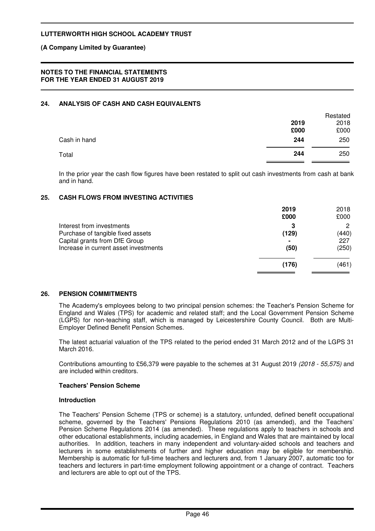### **(A Company Limited by Guarantee)**

### **NOTES TO THE FINANCIAL STATEMENTS FOR THE YEAR ENDED 31 AUGUST 2019**

## **24. ANALYSIS OF CASH AND CASH EQUIVALENTS**

|              |      | Restated |
|--------------|------|----------|
|              | 2019 | 2018     |
|              | £000 | £000     |
| Cash in hand | 244  | 250      |
| Total        | 244  | 250      |

In the prior year the cash flow figures have been restated to split out cash investments from cash at bank and in hand.

### **25. CASH FLOWS FROM INVESTING ACTIVITIES**

|                                                                                                 | 2019<br>£000 | 2018<br>£000      |
|-------------------------------------------------------------------------------------------------|--------------|-------------------|
| Interest from investments<br>Purchase of tangible fixed assets<br>Capital grants from DfE Group | 3<br>(129)   | 2<br>(440)<br>227 |
| Increase in current asset investments                                                           | (50)         | (250)             |
|                                                                                                 | (176)        | (461)             |

### **26. PENSION COMMITMENTS**

The Academy's employees belong to two principal pension schemes: the Teacher's Pension Scheme for England and Wales (TPS) for academic and related staff; and the Local Government Pension Scheme (LGPS) for non-teaching staff, which is managed by Leicestershire County Council. Both are Multi-Employer Defined Benefit Pension Schemes.

The latest actuarial valuation of the TPS related to the period ended 31 March 2012 and of the LGPS 31 March 2016.

Contributions amounting to £56,379 were payable to the schemes at 31 August 2019 (2018 - 55,575) and are included within creditors.

### **Teachers' Pension Scheme**

#### **Introduction**

The Teachers' Pension Scheme (TPS or scheme) is a statutory, unfunded, defined benefit occupational scheme, governed by the Teachers' Pensions Regulations 2010 (as amended), and the Teachers' Pension Scheme Regulations 2014 (as amended). These regulations apply to teachers in schools and other educational establishments, including academies, in England and Wales that are maintained by local authorities. In addition, teachers in many independent and voluntary-aided schools and teachers and lecturers in some establishments of further and higher education may be eligible for membership. Membership is automatic for full-time teachers and lecturers and, from 1 January 2007, automatic too for teachers and lecturers in part-time employment following appointment or a change of contract. Teachers and lecturers are able to opt out of the TPS.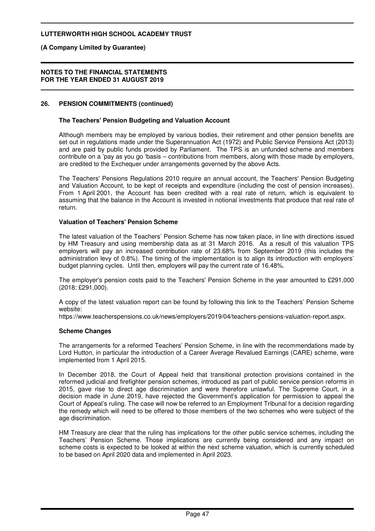**(A Company Limited by Guarantee)**

#### **NOTES TO THE FINANCIAL STATEMENTS FOR THE YEAR ENDED 31 AUGUST 2019**

### **26. PENSION COMMITMENTS (continued)**

### **The Teachers' Pension Budgeting and Valuation Account**

Although members may be employed by various bodies, their retirement and other pension benefits are set out in regulations made under the Superannuation Act (1972) and Public Service Pensions Act (2013) and are paid by public funds provided by Parliament. The TPS is an unfunded scheme and members contribute on a 'pay as you go 'basis – contributions from members, along with those made by employers, are credited to the Exchequer under arrangements governed by the above Acts.

The Teachers' Pensions Regulations 2010 require an annual account, the Teachers' Pension Budgeting and Valuation Account, to be kept of receipts and expenditure (including the cost of pension increases). From 1 April 2001, the Account has been credited with a real rate of return, which is equivalent to assuming that the balance in the Account is invested in notional investments that produce that real rate of return.

#### **Valuation of Teachers' Pension Scheme**

The latest valuation of the Teachers' Pension Scheme has now taken place, in line with directions issued by HM Treasury and using membership data as at 31 March 2016. As a result of this valuation TPS employers will pay an increased contribution rate of 23.68% from September 2019 (this includes the administration levy of 0.8%). The timing of the implementation is to align its introduction with employers' budget planning cycles. Until then, employers will pay the current rate of 16.48%.

The employer's pension costs paid to the Teachers' Pension Scheme in the year amounted to £291,000 (2018: £291,000).

A copy of the latest valuation report can be found by following this link to the Teachers' Pension Scheme website:

https://www.teacherspensions.co.uk/news/employers/2019/04/teachers-pensions-valuation-report.aspx.

### **Scheme Changes**

The arrangements for a reformed Teachers' Pension Scheme, in line with the recommendations made by Lord Hutton, in particular the introduction of a Career Average Revalued Earnings (CARE) scheme, were implemented from 1 April 2015.

In December 2018, the Court of Appeal held that transitional protection provisions contained in the reformed judicial and firefighter pension schemes, introduced as part of public service pension reforms in 2015, gave rise to direct age discrimination and were therefore unlawful. The Supreme Court, in a decision made in June 2019, have rejected the Government's application for permission to appeal the Court of Appeal's ruling. The case will now be referred to an Employment Tribunal for a decision regarding the remedy which will need to be offered to those members of the two schemes who were subject of the age discrimination.

HM Treasury are clear that the ruling has implications for the other public service schemes, including the Teachers' Pension Scheme. Those implications are currently being considered and any impact on scheme costs is expected to be looked at within the next scheme valuation, which is currently scheduled to be based on April 2020 data and implemented in April 2023.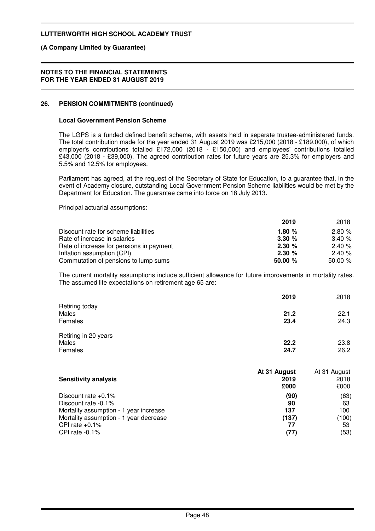### **(A Company Limited by Guarantee)**

#### **NOTES TO THE FINANCIAL STATEMENTS FOR THE YEAR ENDED 31 AUGUST 2019**

### **26. PENSION COMMITMENTS (continued)**

### **Local Government Pension Scheme**

The LGPS is a funded defined benefit scheme, with assets held in separate trustee-administered funds. The total contribution made for the year ended 31 August 2019 was £215,000 (2018 - £189,000), of which employer's contributions totalled £172,000 (2018 - £150,000) and employees' contributions totalled £43,000 (2018 - £39,000). The agreed contribution rates for future years are 25.3% for employers and 5.5% and 12.5% for employees.

Parliament has agreed, at the request of the Secretary of State for Education, to a guarantee that, in the event of Academy closure, outstanding Local Government Pension Scheme liabilities would be met by the Department for Education. The guarantee came into force on 18 July 2013.

Principal actuarial assumptions:

|                                          | 2019     | 2018       |
|------------------------------------------|----------|------------|
| Discount rate for scheme liabilities     | 1.80 $%$ | 2.80%      |
| Rate of increase in salaries             | 3.30%    | 3.40%      |
| Rate of increase for pensions in payment | 2.30%    | 2.40%      |
| Inflation assumption (CPI)               | 2.30%    | 2.40%      |
| Commutation of pensions to lump sums     | 50.00%   | $50.00 \%$ |

The current mortality assumptions include sufficient allowance for future improvements in mortality rates. The assumed life expectations on retirement age 65 are:

|                      | 2019 | 2018 |
|----------------------|------|------|
| Retiring today       |      |      |
| Males                | 21.2 | 22.1 |
| Females              | 23.4 | 24.3 |
| Retiring in 20 years |      |      |
| Males                | 22.2 | 23.8 |
| Females              | 24.7 | 26.2 |

| <b>Sensitivity analysis</b>                   | At 31 August<br>2019<br>£000 | At 31 August<br>2018<br>£000 |
|-----------------------------------------------|------------------------------|------------------------------|
| Discount rate $+0.1\%$<br>Discount rate -0.1% | (90)<br>90                   | (63)<br>63                   |
| Mortality assumption - 1 year increase        | 137                          | 100                          |
| Mortality assumption - 1 year decrease        | (137)                        | (100)                        |
| CPI rate $+0.1\%$                             | 77                           | 53                           |
| CPI rate $-0.1\%$                             | (77)                         | (53)                         |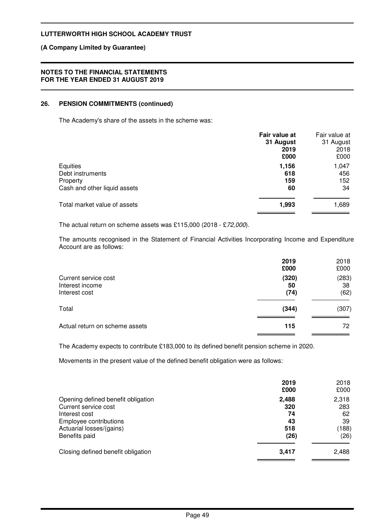### **(A Company Limited by Guarantee)**

### **NOTES TO THE FINANCIAL STATEMENTS FOR THE YEAR ENDED 31 AUGUST 2019**

### **26. PENSION COMMITMENTS (continued)**

The Academy's share of the assets in the scheme was:

|                                                                          | Fair value at<br>31 August<br>2019<br>£000 | Fair value at<br>31 August<br>2018<br>£000 |
|--------------------------------------------------------------------------|--------------------------------------------|--------------------------------------------|
| Equities<br>Debt instruments<br>Property<br>Cash and other liquid assets | 1,156<br>618<br>159<br>60                  | 1,047<br>456<br>152<br>34                  |
| Total market value of assets                                             | 1,993                                      | 1,689                                      |

The actual return on scheme assets was £115,000 (2018 - £72,000).

The amounts recognised in the Statement of Financial Activities Incorporating Income and Expenditure Account are as follows:

|                                                          | 2019<br>£000        | 2018<br>£000        |
|----------------------------------------------------------|---------------------|---------------------|
| Current service cost<br>Interest income<br>Interest cost | (320)<br>50<br>(74) | (283)<br>38<br>(62) |
| Total                                                    | (344)               | (307)               |
| Actual return on scheme assets                           | 115                 | 72                  |

The Academy expects to contribute £183,000 to its defined benefit pension scheme in 2020.

Movements in the present value of the defined benefit obligation were as follows:

|                                                                                                                                                    | 2019<br>£000                            | 2018<br>£000                              |
|----------------------------------------------------------------------------------------------------------------------------------------------------|-----------------------------------------|-------------------------------------------|
| Opening defined benefit obligation<br>Current service cost<br>Interest cost<br>Employee contributions<br>Actuarial losses/(gains)<br>Benefits paid | 2,488<br>320<br>74<br>43<br>518<br>(26) | 2,318<br>283<br>62<br>39<br>(188)<br>(26) |
| Closing defined benefit obligation                                                                                                                 | 3,417                                   | 2,488                                     |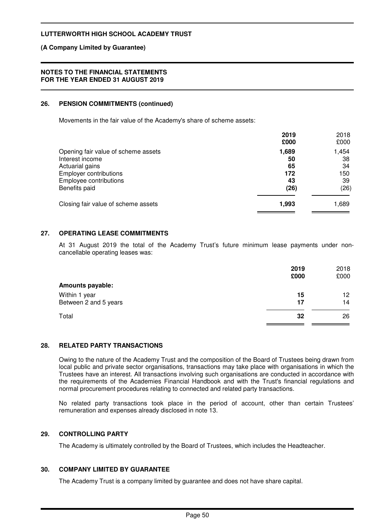### **(A Company Limited by Guarantee)**

### **NOTES TO THE FINANCIAL STATEMENTS FOR THE YEAR ENDED 31 AUGUST 2019**

### **26. PENSION COMMITMENTS (continued)**

Movements in the fair value of the Academy's share of scheme assets:

|                                                                                                                                                       | 2019<br>£000                           | 2018<br>£000                           |
|-------------------------------------------------------------------------------------------------------------------------------------------------------|----------------------------------------|----------------------------------------|
| Opening fair value of scheme assets<br>Interest income<br>Actuarial gains<br><b>Employer contributions</b><br>Employee contributions<br>Benefits paid | 1,689<br>50<br>65<br>172<br>43<br>(26) | 1,454<br>38<br>34<br>150<br>39<br>(26) |
| Closing fair value of scheme assets                                                                                                                   | 1,993                                  | 1,689                                  |

## **27. OPERATING LEASE COMMITMENTS**

At 31 August 2019 the total of the Academy Trust's future minimum lease payments under noncancellable operating leases was:

|                                        | 2019<br>£000 | 2018<br>£000           |
|----------------------------------------|--------------|------------------------|
| <b>Amounts payable:</b>                |              |                        |
| Within 1 year<br>Between 2 and 5 years | 15<br>17     | 12 <sup>12</sup><br>14 |
| Total                                  | 32           | 26                     |

### **28. RELATED PARTY TRANSACTIONS**

Owing to the nature of the Academy Trust and the composition of the Board of Trustees being drawn from local public and private sector organisations, transactions may take place with organisations in which the Trustees have an interest. All transactions involving such organisations are conducted in accordance with the requirements of the Academies Financial Handbook and with the Trust's financial regulations and normal procurement procedures relating to connected and related party transactions.

No related party transactions took place in the period of account, other than certain Trustees' remuneration and expenses already disclosed in note 13.

### **29. CONTROLLING PARTY**

The Academy is ultimately controlled by the Board of Trustees, which includes the Headteacher.

### **30. COMPANY LIMITED BY GUARANTEE**

The Academy Trust is a company limited by guarantee and does not have share capital.